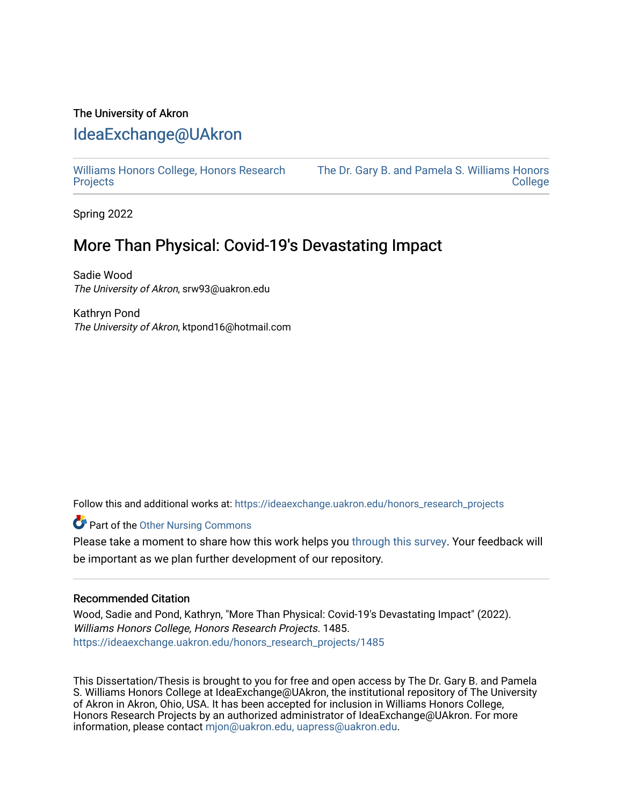# The University of Akron [IdeaExchange@UAkron](https://ideaexchange.uakron.edu/)

[Williams Honors College, Honors Research](https://ideaexchange.uakron.edu/honors_research_projects)  **[Projects](https://ideaexchange.uakron.edu/honors_research_projects)** 

[The Dr. Gary B. and Pamela S. Williams Honors](https://ideaexchange.uakron.edu/honorscollege_ideas)  [College](https://ideaexchange.uakron.edu/honorscollege_ideas) 

Spring 2022

# More Than Physical: Covid-19's Devastating Impact

Sadie Wood The University of Akron, srw93@uakron.edu

Kathryn Pond The University of Akron, ktpond16@hotmail.com

Follow this and additional works at: [https://ideaexchange.uakron.edu/honors\\_research\\_projects](https://ideaexchange.uakron.edu/honors_research_projects?utm_source=ideaexchange.uakron.edu%2Fhonors_research_projects%2F1485&utm_medium=PDF&utm_campaign=PDFCoverPages) 

**Part of the [Other Nursing Commons](http://network.bepress.com/hgg/discipline/729?utm_source=ideaexchange.uakron.edu%2Fhonors_research_projects%2F1485&utm_medium=PDF&utm_campaign=PDFCoverPages)** 

Please take a moment to share how this work helps you [through this survey](http://survey.az1.qualtrics.com/SE/?SID=SV_eEVH54oiCbOw05f&URL=https://ideaexchange.uakron.edu/honors_research_projects/1485). Your feedback will be important as we plan further development of our repository.

## Recommended Citation

Wood, Sadie and Pond, Kathryn, "More Than Physical: Covid-19's Devastating Impact" (2022). Williams Honors College, Honors Research Projects. 1485. [https://ideaexchange.uakron.edu/honors\\_research\\_projects/1485](https://ideaexchange.uakron.edu/honors_research_projects/1485?utm_source=ideaexchange.uakron.edu%2Fhonors_research_projects%2F1485&utm_medium=PDF&utm_campaign=PDFCoverPages) 

This Dissertation/Thesis is brought to you for free and open access by The Dr. Gary B. and Pamela S. Williams Honors College at IdeaExchange@UAkron, the institutional repository of The University of Akron in Akron, Ohio, USA. It has been accepted for inclusion in Williams Honors College, Honors Research Projects by an authorized administrator of IdeaExchange@UAkron. For more information, please contact [mjon@uakron.edu, uapress@uakron.edu.](mailto:mjon@uakron.edu,%20uapress@uakron.edu)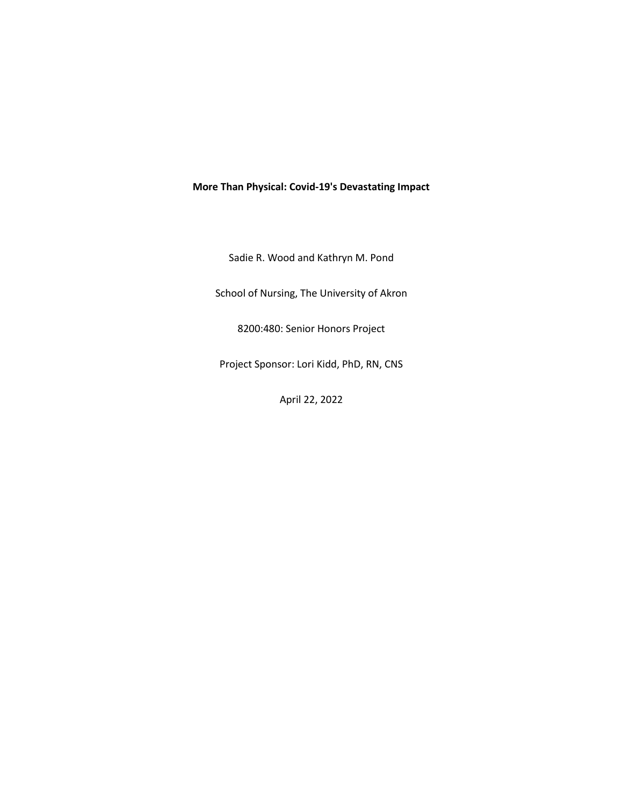## **More Than Physical: Covid-19's Devastating Impact**

Sadie R. Wood and Kathryn M. Pond

School of Nursing, The University of Akron

8200:480: Senior Honors Project

Project Sponsor: Lori Kidd, PhD, RN, CNS

April 22, 2022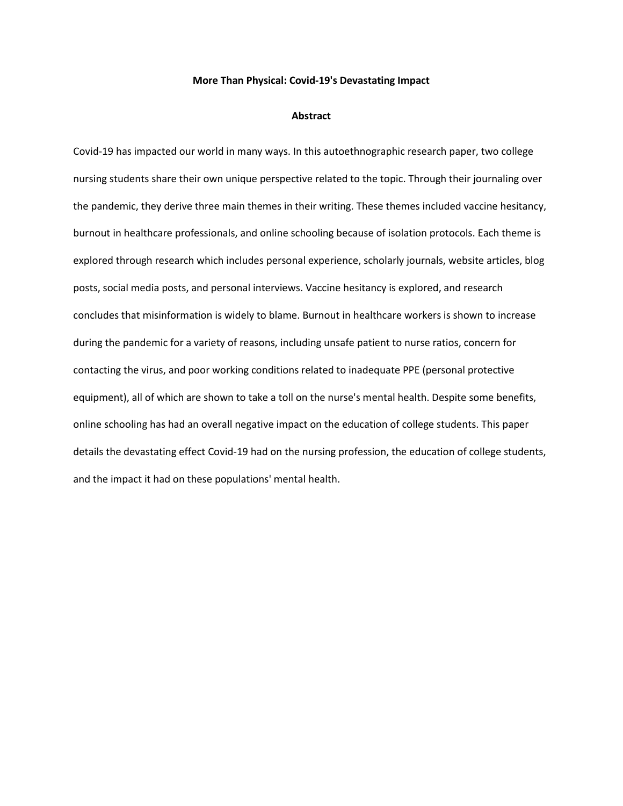## **More Than Physical: Covid-19's Devastating Impact**

#### **Abstract**

Covid-19 has impacted our world in many ways. In this autoethnographic research paper, two college nursing students share their own unique perspective related to the topic. Through their journaling over the pandemic, they derive three main themes in their writing. These themes included vaccine hesitancy, burnout in healthcare professionals, and online schooling because of isolation protocols. Each theme is explored through research which includes personal experience, scholarly journals, website articles, blog posts, social media posts, and personal interviews. Vaccine hesitancy is explored, and research concludes that misinformation is widely to blame. Burnout in healthcare workers is shown to increase during the pandemic for a variety of reasons, including unsafe patient to nurse ratios, concern for contacting the virus, and poor working conditions related to inadequate PPE (personal protective equipment), all of which are shown to take a toll on the nurse's mental health. Despite some benefits, online schooling has had an overall negative impact on the education of college students. This paper details the devastating effect Covid-19 had on the nursing profession, the education of college students, and the impact it had on these populations' mental health.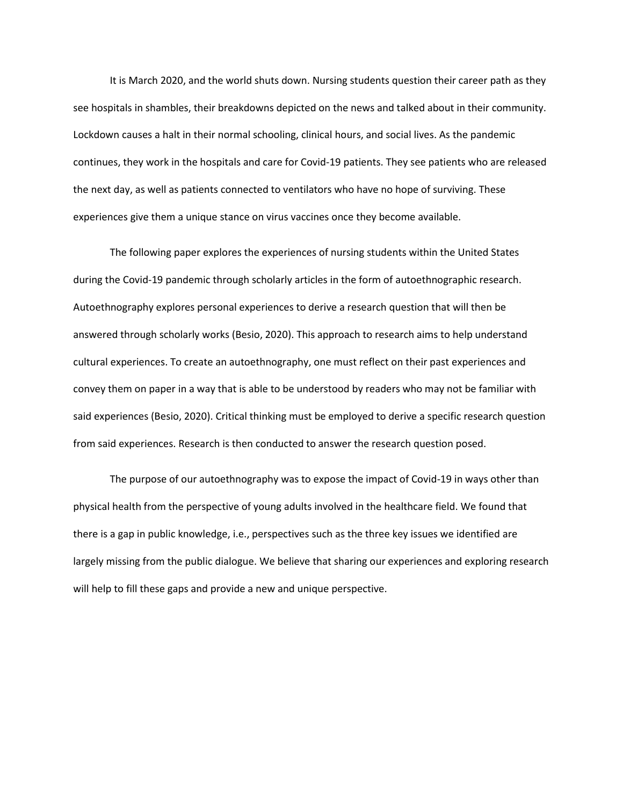It is March 2020, and the world shuts down. Nursing students question their career path as they see hospitals in shambles, their breakdowns depicted on the news and talked about in their community. Lockdown causes a halt in their normal schooling, clinical hours, and social lives. As the pandemic continues, they work in the hospitals and care for Covid-19 patients. They see patients who are released the next day, as well as patients connected to ventilators who have no hope of surviving. These experiences give them a unique stance on virus vaccines once they become available.

The following paper explores the experiences of nursing students within the United States during the Covid-19 pandemic through scholarly articles in the form of autoethnographic research. Autoethnography explores personal experiences to derive a research question that will then be answered through scholarly works (Besio, 2020). This approach to research aims to help understand cultural experiences. To create an autoethnography, one must reflect on their past experiences and convey them on paper in a way that is able to be understood by readers who may not be familiar with said experiences (Besio, 2020). Critical thinking must be employed to derive a specific research question from said experiences. Research is then conducted to answer the research question posed.

The purpose of our autoethnography was to expose the impact of Covid-19 in ways other than physical health from the perspective of young adults involved in the healthcare field. We found that there is a gap in public knowledge, i.e., perspectives such as the three key issues we identified are largely missing from the public dialogue. We believe that sharing our experiences and exploring research will help to fill these gaps and provide a new and unique perspective.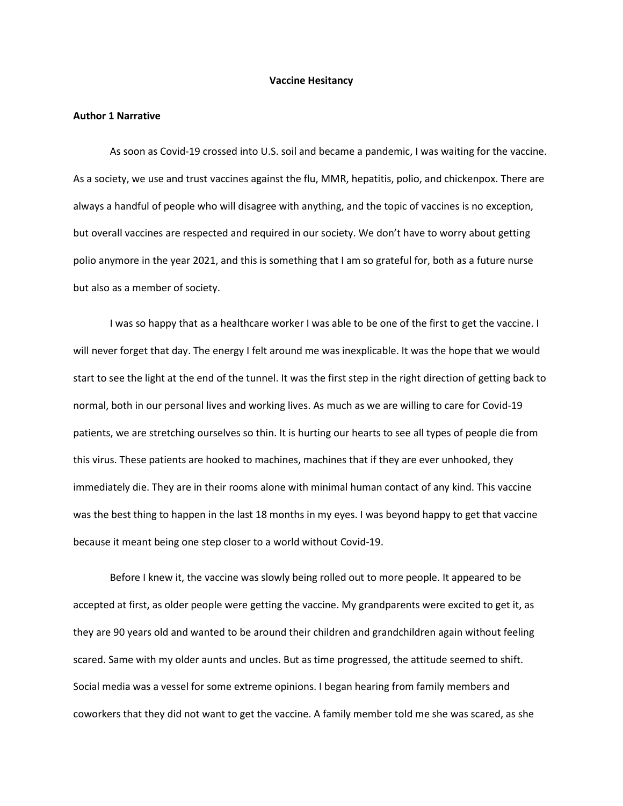#### **Vaccine Hesitancy**

#### **Author 1 Narrative**

As soon as Covid-19 crossed into U.S. soil and became a pandemic, I was waiting for the vaccine. As a society, we use and trust vaccines against the flu, MMR, hepatitis, polio, and chickenpox. There are always a handful of people who will disagree with anything, and the topic of vaccines is no exception, but overall vaccines are respected and required in our society. We don't have to worry about getting polio anymore in the year 2021, and this is something that I am so grateful for, both as a future nurse but also as a member of society.

 I was so happy that as a healthcare worker I was able to be one of the first to get the vaccine. I will never forget that day. The energy I felt around me was inexplicable. It was the hope that we would start to see the light at the end of the tunnel. It was the first step in the right direction of getting back to normal, both in our personal lives and working lives. As much as we are willing to care for Covid-19 patients, we are stretching ourselves so thin. It is hurting our hearts to see all types of people die from this virus. These patients are hooked to machines, machines that if they are ever unhooked, they immediately die. They are in their rooms alone with minimal human contact of any kind. This vaccine was the best thing to happen in the last 18 months in my eyes. I was beyond happy to get that vaccine because it meant being one step closer to a world without Covid-19.

 Before I knew it, the vaccine was slowly being rolled out to more people. It appeared to be accepted at first, as older people were getting the vaccine. My grandparents were excited to get it, as they are 90 years old and wanted to be around their children and grandchildren again without feeling scared. Same with my older aunts and uncles. But as time progressed, the attitude seemed to shift. Social media was a vessel for some extreme opinions. I began hearing from family members and coworkers that they did not want to get the vaccine. A family member told me she was scared, as she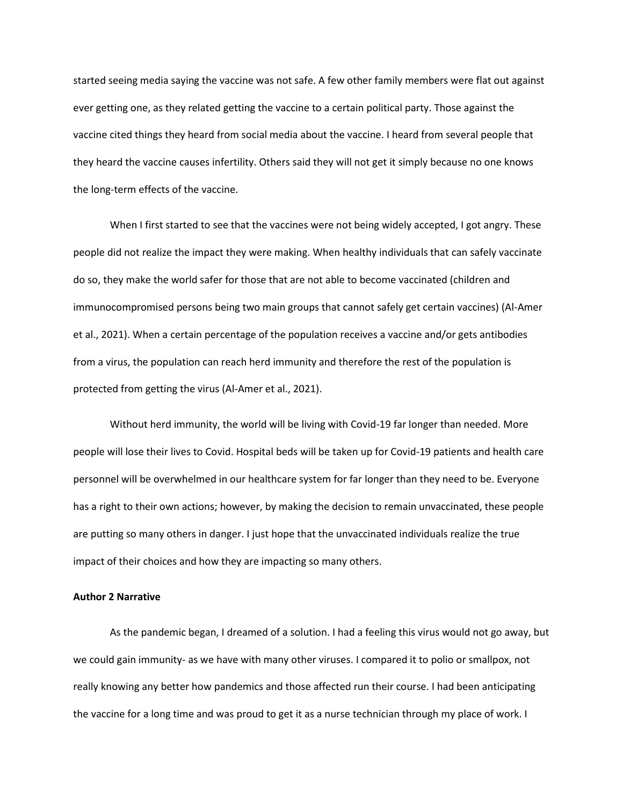started seeing media saying the vaccine was not safe. A few other family members were flat out against ever getting one, as they related getting the vaccine to a certain political party. Those against the vaccine cited things they heard from social media about the vaccine. I heard from several people that they heard the vaccine causes infertility. Others said they will not get it simply because no one knows the long-term effects of the vaccine.

 When I first started to see that the vaccines were not being widely accepted, I got angry. These people did not realize the impact they were making. When healthy individuals that can safely vaccinate do so, they make the world safer for those that are not able to become vaccinated (children and immunocompromised persons being two main groups that cannot safely get certain vaccines) (Al-Amer et al., 2021). When a certain percentage of the population receives a vaccine and/or gets antibodies from a virus, the population can reach herd immunity and therefore the rest of the population is protected from getting the virus (Al-Amer et al., 2021).

Without herd immunity, the world will be living with Covid-19 far longer than needed. More people will lose their lives to Covid. Hospital beds will be taken up for Covid-19 patients and health care personnel will be overwhelmed in our healthcare system for far longer than they need to be. Everyone has a right to their own actions; however, by making the decision to remain unvaccinated, these people are putting so many others in danger. I just hope that the unvaccinated individuals realize the true impact of their choices and how they are impacting so many others.

## **Author 2 Narrative**

As the pandemic began, I dreamed of a solution. I had a feeling this virus would not go away, but we could gain immunity- as we have with many other viruses. I compared it to polio or smallpox, not really knowing any better how pandemics and those affected run their course. I had been anticipating the vaccine for a long time and was proud to get it as a nurse technician through my place of work. I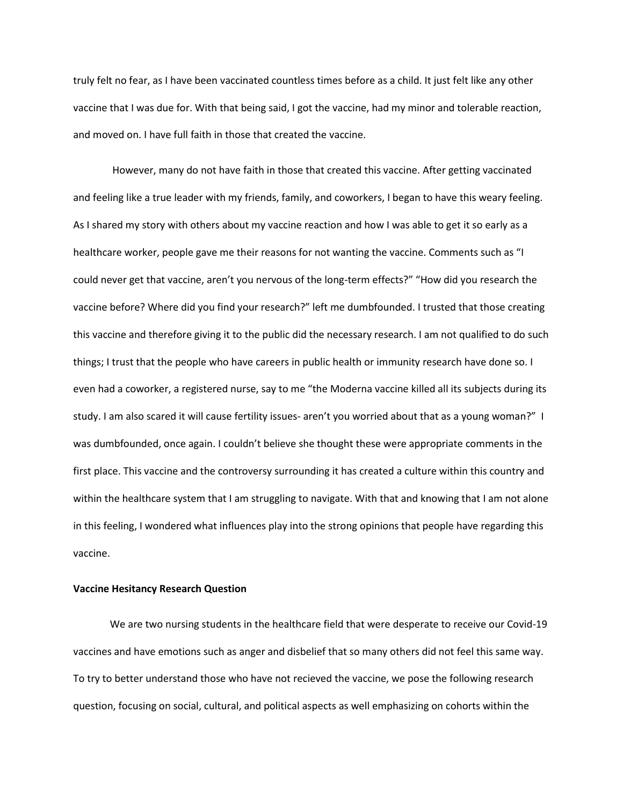truly felt no fear, as I have been vaccinated countless times before as a child. It just felt like any other vaccine that I was due for. With that being said, I got the vaccine, had my minor and tolerable reaction, and moved on. I have full faith in those that created the vaccine.

However, many do not have faith in those that created this vaccine. After getting vaccinated and feeling like a true leader with my friends, family, and coworkers, I began to have this weary feeling. As I shared my story with others about my vaccine reaction and how I was able to get it so early as a healthcare worker, people gave me their reasons for not wanting the vaccine. Comments such as "I could never get that vaccine, aren't you nervous of the long-term effects?" "How did you research the vaccine before? Where did you find your research?" left me dumbfounded. I trusted that those creating this vaccine and therefore giving it to the public did the necessary research. I am not qualified to do such things; I trust that the people who have careers in public health or immunity research have done so. I even had a coworker, a registered nurse, say to me "the Moderna vaccine killed all its subjects during its study. I am also scared it will cause fertility issues- aren't you worried about that as a young woman?" I was dumbfounded, once again. I couldn't believe she thought these were appropriate comments in the first place. This vaccine and the controversy surrounding it has created a culture within this country and within the healthcare system that I am struggling to navigate. With that and knowing that I am not alone in this feeling, I wondered what influences play into the strong opinions that people have regarding this vaccine.

## **Vaccine Hesitancy Research Question**

We are two nursing students in the healthcare field that were desperate to receive our Covid-19 vaccines and have emotions such as anger and disbelief that so many others did not feel this same way. To try to better understand those who have not recieved the vaccine, we pose the following research question, focusing on social, cultural, and political aspects as well emphasizing on cohorts within the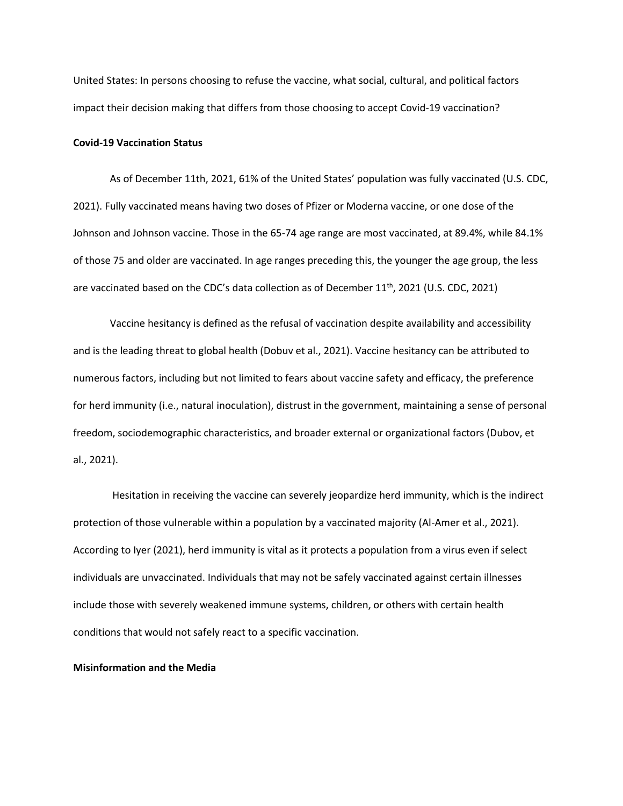United States: In persons choosing to refuse the vaccine, what social, cultural, and political factors impact their decision making that differs from those choosing to accept Covid-19 vaccination?

## **Covid-19 Vaccination Status**

As of December 11th, 2021, 61% of the United States' population was fully vaccinated (U.S. CDC, 2021). Fully vaccinated means having two doses of Pfizer or Moderna vaccine, or one dose of the Johnson and Johnson vaccine. Those in the 65-74 age range are most vaccinated, at 89.4%, while 84.1% of those 75 and older are vaccinated. In age ranges preceding this, the younger the age group, the less are vaccinated based on the CDC's data collection as of December  $11<sup>th</sup>$ , 2021 (U.S. CDC, 2021)

Vaccine hesitancy is defined as the refusal of vaccination despite availability and accessibility and is the leading threat to global health (Dobuv et al., 2021). Vaccine hesitancy can be attributed to numerous factors, including but not limited to fears about vaccine safety and efficacy, the preference for herd immunity (i.e., natural inoculation), distrust in the government, maintaining a sense of personal freedom, sociodemographic characteristics, and broader external or organizational factors (Dubov, et al., 2021).

Hesitation in receiving the vaccine can severely jeopardize herd immunity, which is the indirect protection of those vulnerable within a population by a vaccinated majority (Al-Amer et al., 2021). According to Iyer (2021), herd immunity is vital as it protects a population from a virus even if select individuals are unvaccinated. Individuals that may not be safely vaccinated against certain illnesses include those with severely weakened immune systems, children, or others with certain health conditions that would not safely react to a specific vaccination.

## **Misinformation and the Media**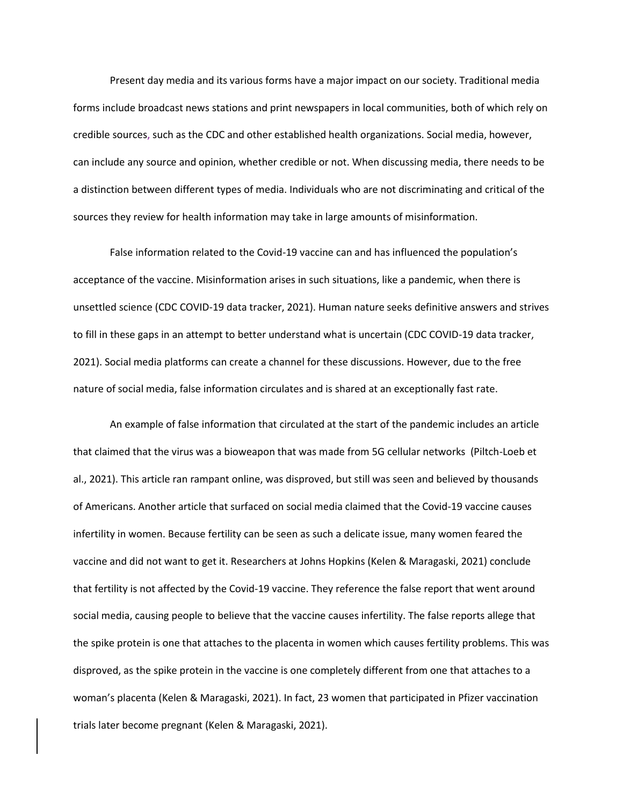Present day media and its various forms have a major impact on our society. Traditional media forms include broadcast news stations and print newspapers in local communities, both of which rely on credible sources, such as the CDC and other established health organizations. Social media, however, can include any source and opinion, whether credible or not. When discussing media, there needs to be a distinction between different types of media. Individuals who are not discriminating and critical of the sources they review for health information may take in large amounts of misinformation.

False information related to the Covid-19 vaccine can and has influenced the population's acceptance of the vaccine. Misinformation arises in such situations, like a pandemic, when there is unsettled science (CDC COVID-19 data tracker, 2021). Human nature seeks definitive answers and strives to fill in these gaps in an attempt to better understand what is uncertain (CDC COVID-19 data tracker, 2021). Social media platforms can create a channel for these discussions. However, due to the free nature of social media, false information circulates and is shared at an exceptionally fast rate.

An example of false information that circulated at the start of the pandemic includes an article that claimed that the virus was a bioweapon that was made from 5G cellular networks (Piltch-Loeb et al., 2021). This article ran rampant online, was disproved, but still was seen and believed by thousands of Americans. Another article that surfaced on social media claimed that the Covid-19 vaccine causes infertility in women. Because fertility can be seen as such a delicate issue, many women feared the vaccine and did not want to get it. Researchers at Johns Hopkins (Kelen & Maragaski, 2021) conclude that fertility is not affected by the Covid-19 vaccine. They reference the false report that went around social media, causing people to believe that the vaccine causes infertility. The false reports allege that the spike protein is one that attaches to the placenta in women which causes fertility problems. This was disproved, as the spike protein in the vaccine is one completely different from one that attaches to a woman's placenta (Kelen & Maragaski, 2021). In fact, 23 women that participated in Pfizer vaccination trials later become pregnant (Kelen & Maragaski, 2021).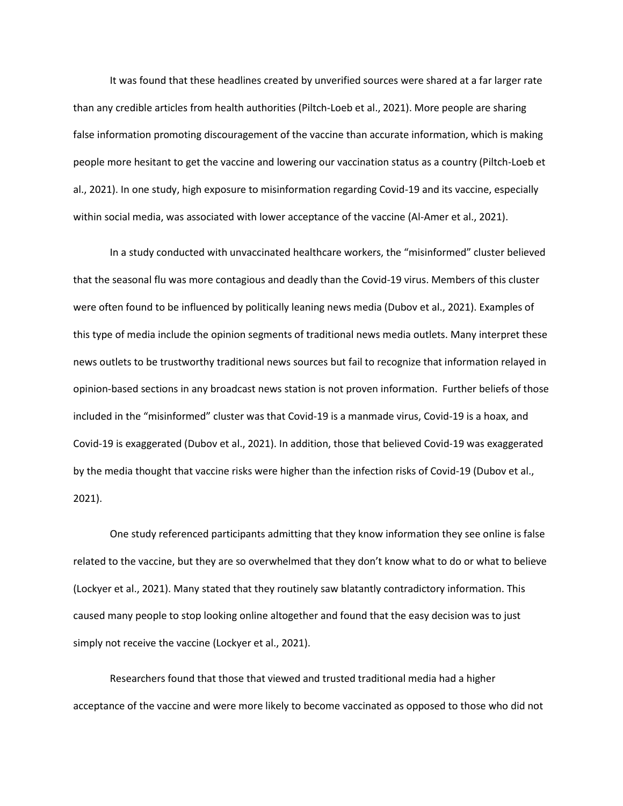It was found that these headlines created by unverified sources were shared at a far larger rate than any credible articles from health authorities (Piltch-Loeb et al., 2021). More people are sharing false information promoting discouragement of the vaccine than accurate information, which is making people more hesitant to get the vaccine and lowering our vaccination status as a country (Piltch-Loeb et al., 2021). In one study, high exposure to misinformation regarding Covid-19 and its vaccine, especially within social media, was associated with lower acceptance of the vaccine (Al-Amer et al., 2021).

In a study conducted with unvaccinated healthcare workers, the "misinformed" cluster believed that the seasonal flu was more contagious and deadly than the Covid-19 virus. Members of this cluster were often found to be influenced by politically leaning news media (Dubov et al., 2021). Examples of this type of media include the opinion segments of traditional news media outlets. Many interpret these news outlets to be trustworthy traditional news sources but fail to recognize that information relayed in opinion-based sections in any broadcast news station is not proven information. Further beliefs of those included in the "misinformed" cluster was that Covid-19 is a manmade virus, Covid-19 is a hoax, and Covid-19 is exaggerated (Dubov et al., 2021). In addition, those that believed Covid-19 was exaggerated by the media thought that vaccine risks were higher than the infection risks of Covid-19 (Dubov et al., 2021).

One study referenced participants admitting that they know information they see online is false related to the vaccine, but they are so overwhelmed that they don't know what to do or what to believe (Lockyer et al., 2021). Many stated that they routinely saw blatantly contradictory information. This caused many people to stop looking online altogether and found that the easy decision was to just simply not receive the vaccine (Lockyer et al., 2021).

Researchers found that those that viewed and trusted traditional media had a higher acceptance of the vaccine and were more likely to become vaccinated as opposed to those who did not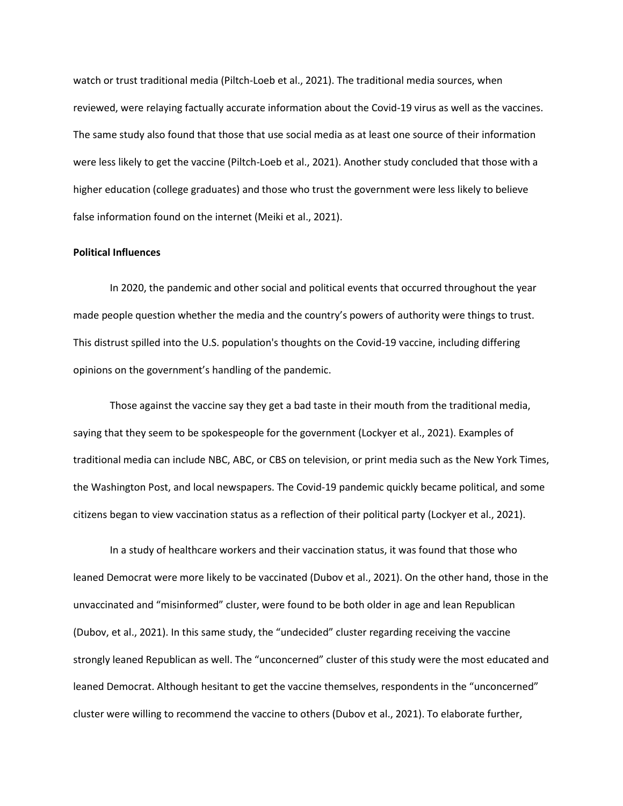watch or trust traditional media (Piltch-Loeb et al., 2021). The traditional media sources, when reviewed, were relaying factually accurate information about the Covid-19 virus as well as the vaccines. The same study also found that those that use social media as at least one source of their information were less likely to get the vaccine (Piltch-Loeb et al., 2021). Another study concluded that those with a higher education (college graduates) and those who trust the government were less likely to believe false information found on the internet (Meiki et al., 2021).

## **Political Influences**

In 2020, the pandemic and other social and political events that occurred throughout the year made people question whether the media and the country's powers of authority were things to trust. This distrust spilled into the U.S. population's thoughts on the Covid-19 vaccine, including differing opinions on the government's handling of the pandemic.

Those against the vaccine say they get a bad taste in their mouth from the traditional media, saying that they seem to be spokespeople for the government (Lockyer et al., 2021). Examples of traditional media can include NBC, ABC, or CBS on television, or print media such as the New York Times, the Washington Post, and local newspapers. The Covid-19 pandemic quickly became political, and some citizens began to view vaccination status as a reflection of their political party (Lockyer et al., 2021).

In a study of healthcare workers and their vaccination status, it was found that those who leaned Democrat were more likely to be vaccinated (Dubov et al., 2021). On the other hand, those in the unvaccinated and "misinformed" cluster, were found to be both older in age and lean Republican (Dubov, et al., 2021). In this same study, the "undecided" cluster regarding receiving the vaccine strongly leaned Republican as well. The "unconcerned" cluster of this study were the most educated and leaned Democrat. Although hesitant to get the vaccine themselves, respondents in the "unconcerned" cluster were willing to recommend the vaccine to others (Dubov et al., 2021). To elaborate further,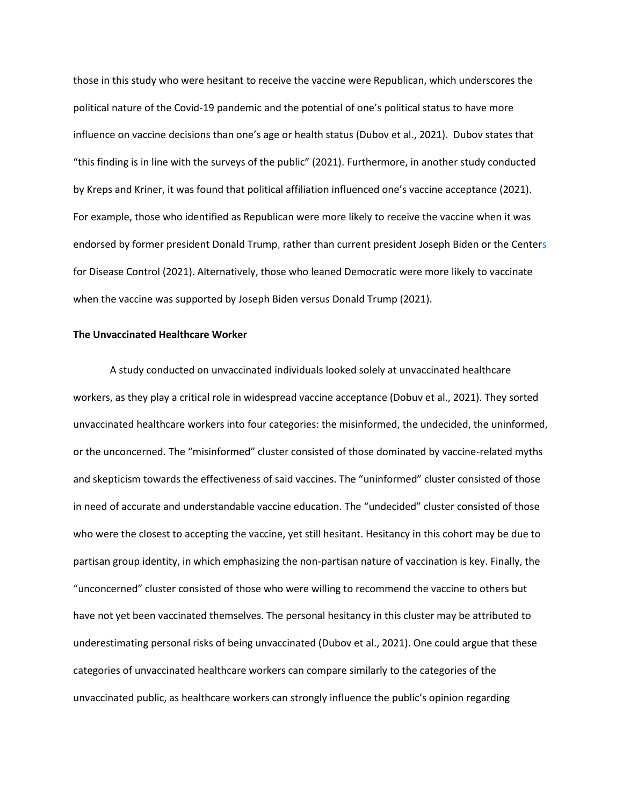those in this study who were hesitant to receive the vaccine were Republican, which underscores the political nature of the Covid-19 pandemic and the potential of one's political status to have more influence on vaccine decisions than one's age or health status (Dubov et al., 2021). Dubov states that "this finding is in line with the surveys of the public" (2021). Furthermore, in another study conducted by Kreps and Kriner, it was found that political affiliation influenced one's vaccine acceptance (2021). For example, those who identified as Republican were more likely to receive the vaccine when it was endorsed by former president Donald Trump, rather than current president Joseph Biden or the Centers for Disease Control (2021). Alternatively, those who leaned Democratic were more likely to vaccinate when the vaccine was supported by Joseph Biden versus Donald Trump (2021).

## **The Unvaccinated Healthcare Worker**

A study conducted on unvaccinated individuals looked solely at unvaccinated healthcare workers, as they play a critical role in widespread vaccine acceptance (Dobuv et al., 2021). They sorted unvaccinated healthcare workers into four categories: the misinformed, the undecided, the uninformed, or the unconcerned. The "misinformed" cluster consisted of those dominated by vaccine-related myths and skepticism towards the effectiveness of said vaccines. The "uninformed" cluster consisted of those in need of accurate and understandable vaccine education. The "undecided" cluster consisted of those who were the closest to accepting the vaccine, yet still hesitant. Hesitancy in this cohort may be due to partisan group identity, in which emphasizing the non-partisan nature of vaccination is key. Finally, the "unconcerned" cluster consisted of those who were willing to recommend the vaccine to others but have not yet been vaccinated themselves. The personal hesitancy in this cluster may be attributed to underestimating personal risks of being unvaccinated (Dubov et al., 2021). One could argue that these categories of unvaccinated healthcare workers can compare similarly to the categories of the unvaccinated public, as healthcare workers can strongly influence the public's opinion regarding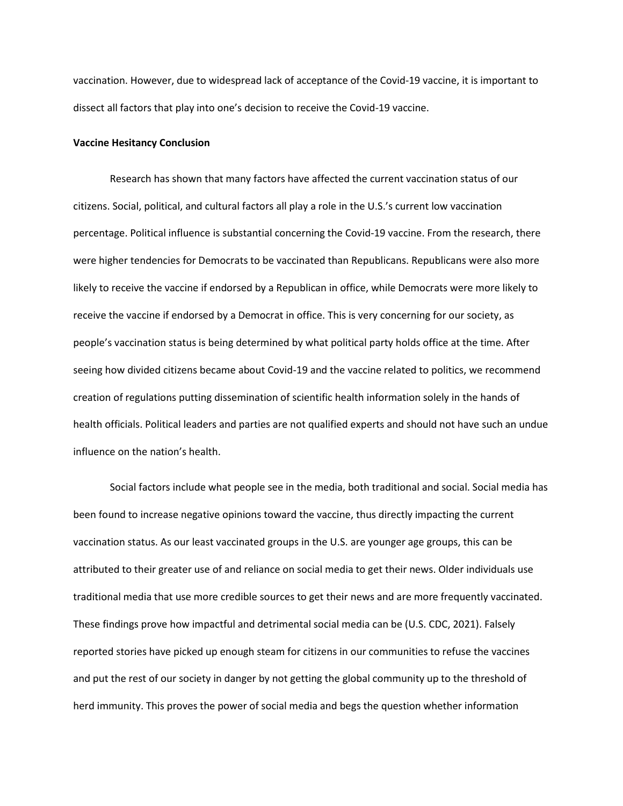vaccination. However, due to widespread lack of acceptance of the Covid-19 vaccine, it is important to dissect all factors that play into one's decision to receive the Covid-19 vaccine.

## **Vaccine Hesitancy Conclusion**

Research has shown that many factors have affected the current vaccination status of our citizens. Social, political, and cultural factors all play a role in the U.S.'s current low vaccination percentage. Political influence is substantial concerning the Covid-19 vaccine. From the research, there were higher tendencies for Democrats to be vaccinated than Republicans. Republicans were also more likely to receive the vaccine if endorsed by a Republican in office, while Democrats were more likely to receive the vaccine if endorsed by a Democrat in office. This is very concerning for our society, as people's vaccination status is being determined by what political party holds office at the time. After seeing how divided citizens became about Covid-19 and the vaccine related to politics, we recommend creation of regulations putting dissemination of scientific health information solely in the hands of health officials. Political leaders and parties are not qualified experts and should not have such an undue influence on the nation's health.

Social factors include what people see in the media, both traditional and social. Social media has been found to increase negative opinions toward the vaccine, thus directly impacting the current vaccination status. As our least vaccinated groups in the U.S. are younger age groups, this can be attributed to their greater use of and reliance on social media to get their news. Older individuals use traditional media that use more credible sources to get their news and are more frequently vaccinated. These findings prove how impactful and detrimental social media can be (U.S. CDC, 2021). Falsely reported stories have picked up enough steam for citizens in our communities to refuse the vaccines and put the rest of our society in danger by not getting the global community up to the threshold of herd immunity. This proves the power of social media and begs the question whether information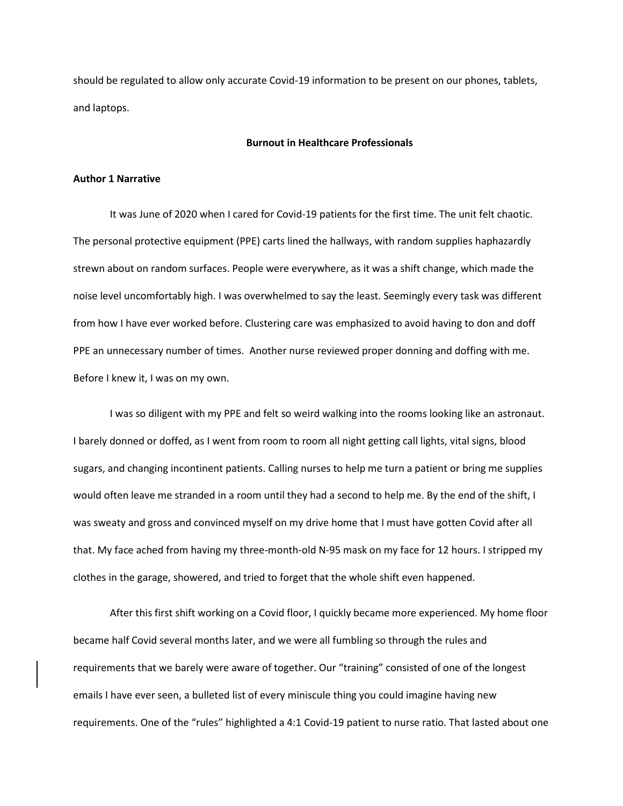should be regulated to allow only accurate Covid-19 information to be present on our phones, tablets, and laptops.

## **Burnout in Healthcare Professionals**

## **Author 1 Narrative**

It was June of 2020 when I cared for Covid-19 patients for the first time. The unit felt chaotic. The personal protective equipment (PPE) carts lined the hallways, with random supplies haphazardly strewn about on random surfaces. People were everywhere, as it was a shift change, which made the noise level uncomfortably high. I was overwhelmed to say the least. Seemingly every task was different from how I have ever worked before. Clustering care was emphasized to avoid having to don and doff PPE an unnecessary number of times. Another nurse reviewed proper donning and doffing with me. Before I knew it, I was on my own.

I was so diligent with my PPE and felt so weird walking into the rooms looking like an astronaut. I barely donned or doffed, as I went from room to room all night getting call lights, vital signs, blood sugars, and changing incontinent patients. Calling nurses to help me turn a patient or bring me supplies would often leave me stranded in a room until they had a second to help me. By the end of the shift, I was sweaty and gross and convinced myself on my drive home that I must have gotten Covid after all that. My face ached from having my three-month-old N-95 mask on my face for 12 hours. I stripped my clothes in the garage, showered, and tried to forget that the whole shift even happened.

 After this first shift working on a Covid floor, I quickly became more experienced. My home floor became half Covid several months later, and we were all fumbling so through the rules and requirements that we barely were aware of together. Our "training" consisted of one of the longest emails I have ever seen, a bulleted list of every miniscule thing you could imagine having new requirements. One of the "rules" highlighted a 4:1 Covid-19 patient to nurse ratio. That lasted about one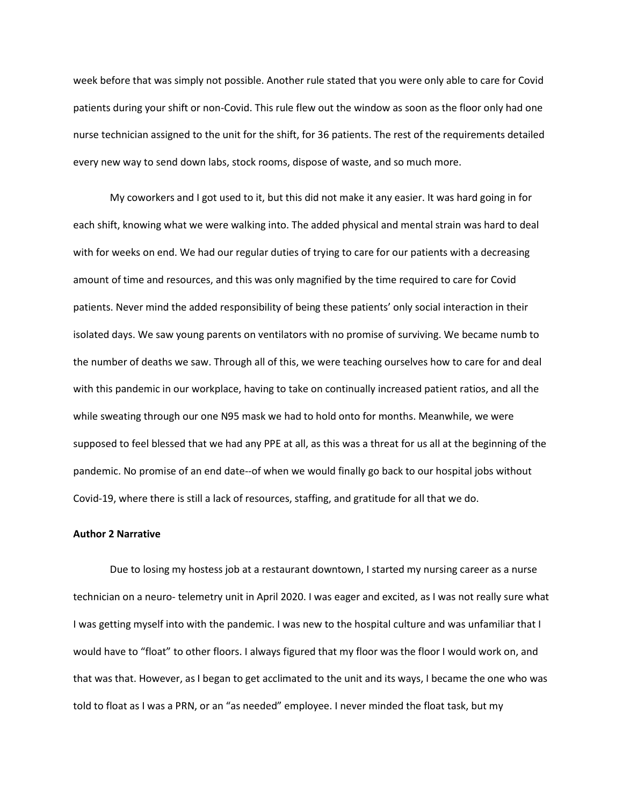week before that was simply not possible. Another rule stated that you were only able to care for Covid patients during your shift or non-Covid. This rule flew out the window as soon as the floor only had one nurse technician assigned to the unit for the shift, for 36 patients. The rest of the requirements detailed every new way to send down labs, stock rooms, dispose of waste, and so much more.

 My coworkers and I got used to it, but this did not make it any easier. It was hard going in for each shift, knowing what we were walking into. The added physical and mental strain was hard to deal with for weeks on end. We had our regular duties of trying to care for our patients with a decreasing amount of time and resources, and this was only magnified by the time required to care for Covid patients. Never mind the added responsibility of being these patients' only social interaction in their isolated days. We saw young parents on ventilators with no promise of surviving. We became numb to the number of deaths we saw. Through all of this, we were teaching ourselves how to care for and deal with this pandemic in our workplace, having to take on continually increased patient ratios, and all the while sweating through our one N95 mask we had to hold onto for months. Meanwhile, we were supposed to feel blessed that we had any PPE at all, as this was a threat for us all at the beginning of the pandemic. No promise of an end date--of when we would finally go back to our hospital jobs without Covid-19, where there is still a lack of resources, staffing, and gratitude for all that we do.

## **Author 2 Narrative**

Due to losing my hostess job at a restaurant downtown, I started my nursing career as a nurse technician on a neuro- telemetry unit in April 2020. I was eager and excited, as I was not really sure what I was getting myself into with the pandemic. I was new to the hospital culture and was unfamiliar that I would have to "float" to other floors. I always figured that my floor was the floor I would work on, and that was that. However, as I began to get acclimated to the unit and its ways, I became the one who was told to float as I was a PRN, or an "as needed" employee. I never minded the float task, but my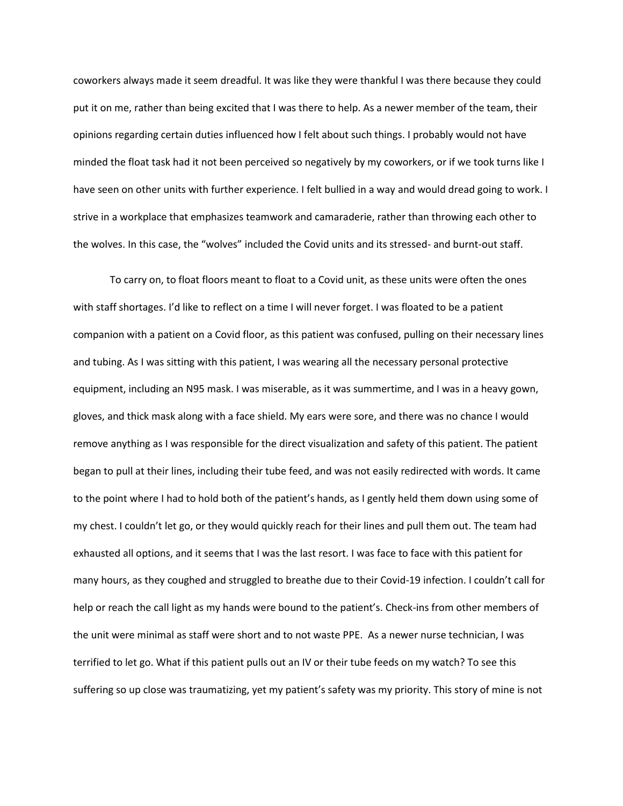coworkers always made it seem dreadful. It was like they were thankful I was there because they could put it on me, rather than being excited that I was there to help. As a newer member of the team, their opinions regarding certain duties influenced how I felt about such things. I probably would not have minded the float task had it not been perceived so negatively by my coworkers, or if we took turns like I have seen on other units with further experience. I felt bullied in a way and would dread going to work. I strive in a workplace that emphasizes teamwork and camaraderie, rather than throwing each other to the wolves. In this case, the "wolves" included the Covid units and its stressed- and burnt-out staff.

To carry on, to float floors meant to float to a Covid unit, as these units were often the ones with staff shortages. I'd like to reflect on a time I will never forget. I was floated to be a patient companion with a patient on a Covid floor, as this patient was confused, pulling on their necessary lines and tubing. As I was sitting with this patient, I was wearing all the necessary personal protective equipment, including an N95 mask. I was miserable, as it was summertime, and I was in a heavy gown, gloves, and thick mask along with a face shield. My ears were sore, and there was no chance I would remove anything as I was responsible for the direct visualization and safety of this patient. The patient began to pull at their lines, including their tube feed, and was not easily redirected with words. It came to the point where I had to hold both of the patient's hands, as I gently held them down using some of my chest. I couldn't let go, or they would quickly reach for their lines and pull them out. The team had exhausted all options, and it seems that I was the last resort. I was face to face with this patient for many hours, as they coughed and struggled to breathe due to their Covid-19 infection. I couldn't call for help or reach the call light as my hands were bound to the patient's. Check-ins from other members of the unit were minimal as staff were short and to not waste PPE. As a newer nurse technician, I was terrified to let go. What if this patient pulls out an IV or their tube feeds on my watch? To see this suffering so up close was traumatizing, yet my patient's safety was my priority. This story of mine is not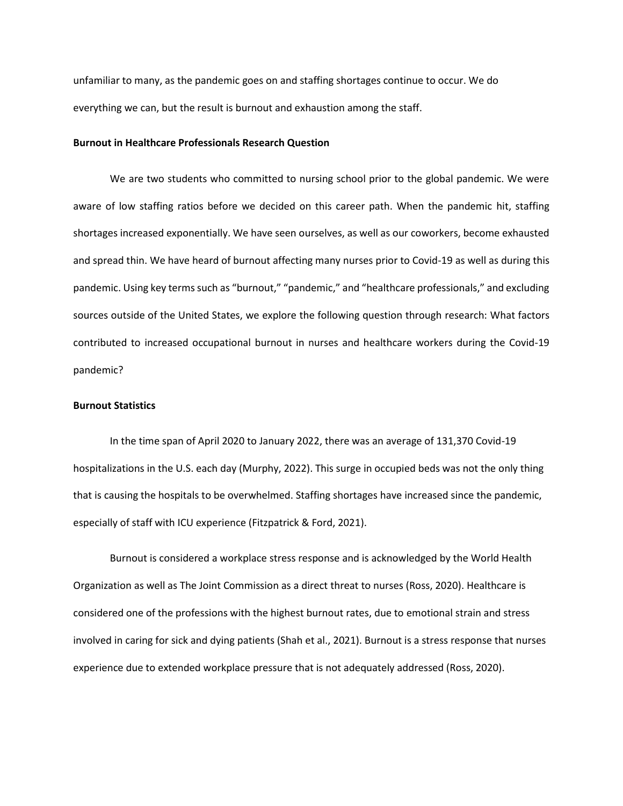unfamiliar to many, as the pandemic goes on and staffing shortages continue to occur. We do everything we can, but the result is burnout and exhaustion among the staff.

## **Burnout in Healthcare Professionals Research Question**

We are two students who committed to nursing school prior to the global pandemic. We were aware of low staffing ratios before we decided on this career path. When the pandemic hit, staffing shortages increased exponentially. We have seen ourselves, as well as our coworkers, become exhausted and spread thin. We have heard of burnout affecting many nurses prior to Covid-19 as well as during this pandemic. Using key terms such as "burnout," "pandemic," and "healthcare professionals," and excluding sources outside of the United States, we explore the following question through research: What factors contributed to increased occupational burnout in nurses and healthcare workers during the Covid-19 pandemic?

## **Burnout Statistics**

In the time span of April 2020 to January 2022, there was an average of 131,370 Covid-19 hospitalizations in the U.S. each day (Murphy, 2022). This surge in occupied beds was not the only thing that is causing the hospitals to be overwhelmed. Staffing shortages have increased since the pandemic, especially of staff with ICU experience (Fitzpatrick & Ford, 2021).

Burnout is considered a workplace stress response and is acknowledged by the World Health Organization as well as The Joint Commission as a direct threat to nurses (Ross, 2020). Healthcare is considered one of the professions with the highest burnout rates, due to emotional strain and stress involved in caring for sick and dying patients (Shah et al., 2021). Burnout is a stress response that nurses experience due to extended workplace pressure that is not adequately addressed (Ross, 2020).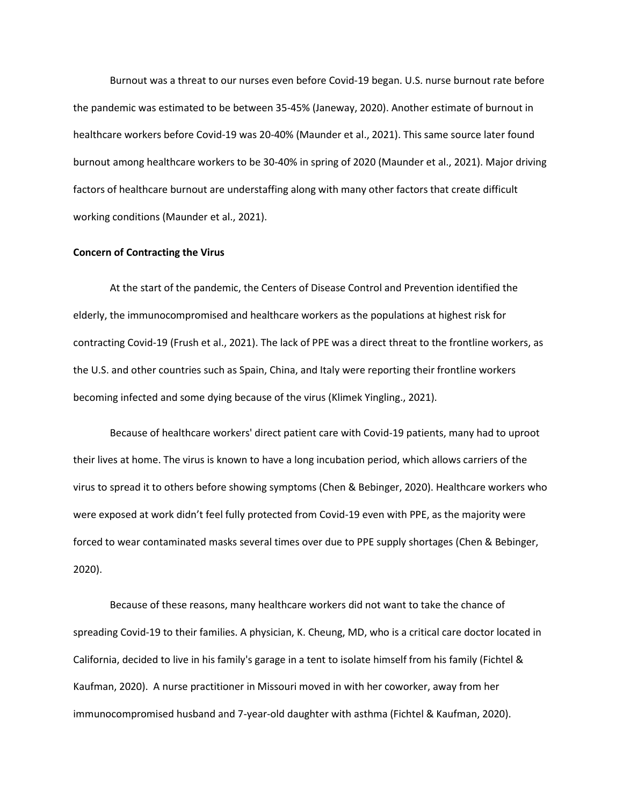Burnout was a threat to our nurses even before Covid-19 began. U.S. nurse burnout rate before the pandemic was estimated to be between 35-45% (Janeway, 2020). Another estimate of burnout in healthcare workers before Covid-19 was 20-40% (Maunder et al., 2021). This same source later found burnout among healthcare workers to be 30-40% in spring of 2020 (Maunder et al., 2021). Major driving factors of healthcare burnout are understaffing along with many other factors that create difficult working conditions (Maunder et al., 2021).

## **Concern of Contracting the Virus**

At the start of the pandemic, the Centers of Disease Control and Prevention identified the elderly, the immunocompromised and healthcare workers as the populations at highest risk for contracting Covid-19 (Frush et al., 2021). The lack of PPE was a direct threat to the frontline workers, as the U.S. and other countries such as Spain, China, and Italy were reporting their frontline workers becoming infected and some dying because of the virus (Klimek Yingling., 2021).

Because of healthcare workers' direct patient care with Covid-19 patients, many had to uproot their lives at home. The virus is known to have a long incubation period, which allows carriers of the virus to spread it to others before showing symptoms (Chen & Bebinger, 2020). Healthcare workers who were exposed at work didn't feel fully protected from Covid-19 even with PPE, as the majority were forced to wear contaminated masks several times over due to PPE supply shortages (Chen & Bebinger, 2020).

Because of these reasons, many healthcare workers did not want to take the chance of spreading Covid-19 to their families. A physician, K. Cheung, MD, who is a critical care doctor located in California, decided to live in his family's garage in a tent to isolate himself from his family (Fichtel & Kaufman, 2020). A nurse practitioner in Missouri moved in with her coworker, away from her immunocompromised husband and 7-year-old daughter with asthma (Fichtel & Kaufman, 2020).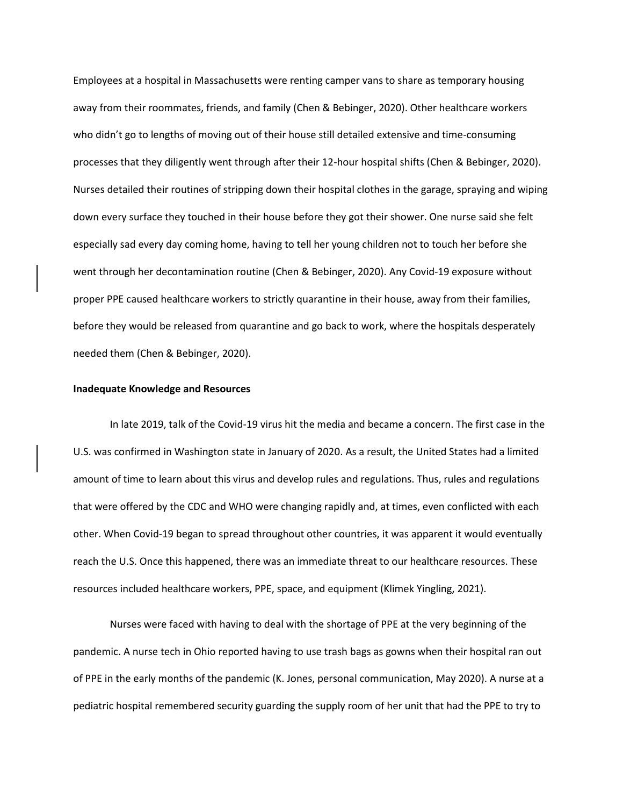Employees at a hospital in Massachusetts were renting camper vans to share as temporary housing away from their roommates, friends, and family (Chen & Bebinger, 2020). Other healthcare workers who didn't go to lengths of moving out of their house still detailed extensive and time-consuming processes that they diligently went through after their 12-hour hospital shifts (Chen & Bebinger, 2020). Nurses detailed their routines of stripping down their hospital clothes in the garage, spraying and wiping down every surface they touched in their house before they got their shower. One nurse said she felt especially sad every day coming home, having to tell her young children not to touch her before she went through her decontamination routine (Chen & Bebinger, 2020). Any Covid-19 exposure without proper PPE caused healthcare workers to strictly quarantine in their house, away from their families, before they would be released from quarantine and go back to work, where the hospitals desperately needed them (Chen & Bebinger, 2020).

#### **Inadequate Knowledge and Resources**

In late 2019, talk of the Covid-19 virus hit the media and became a concern. The first case in the U.S. was confirmed in Washington state in January of 2020. As a result, the United States had a limited amount of time to learn about this virus and develop rules and regulations. Thus, rules and regulations that were offered by the CDC and WHO were changing rapidly and, at times, even conflicted with each other. When Covid-19 began to spread throughout other countries, it was apparent it would eventually reach the U.S. Once this happened, there was an immediate threat to our healthcare resources. These resources included healthcare workers, PPE, space, and equipment (Klimek Yingling, 2021).

Nurses were faced with having to deal with the shortage of PPE at the very beginning of the pandemic. A nurse tech in Ohio reported having to use trash bags as gowns when their hospital ran out of PPE in the early months of the pandemic (K. Jones, personal communication, May 2020). A nurse at a pediatric hospital remembered security guarding the supply room of her unit that had the PPE to try to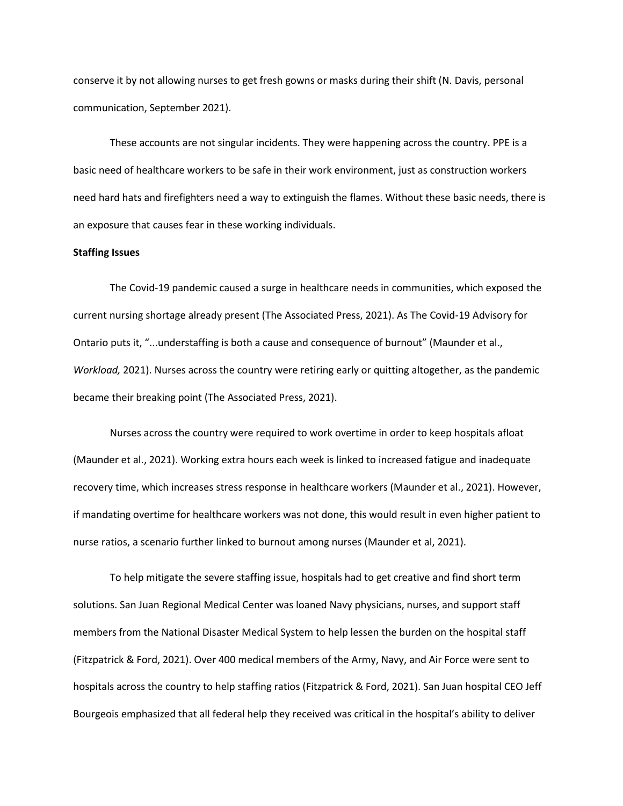conserve it by not allowing nurses to get fresh gowns or masks during their shift (N. Davis, personal communication, September 2021).

These accounts are not singular incidents. They were happening across the country. PPE is a basic need of healthcare workers to be safe in their work environment, just as construction workers need hard hats and firefighters need a way to extinguish the flames. Without these basic needs, there is an exposure that causes fear in these working individuals.

#### **Staffing Issues**

The Covid-19 pandemic caused a surge in healthcare needs in communities, which exposed the current nursing shortage already present (The Associated Press, 2021). As The Covid-19 Advisory for Ontario puts it, "...understaffing is both a cause and consequence of burnout" (Maunder et al., *Workload,* 2021). Nurses across the country were retiring early or quitting altogether, as the pandemic became their breaking point (The Associated Press, 2021).

Nurses across the country were required to work overtime in order to keep hospitals afloat (Maunder et al., 2021). Working extra hours each week is linked to increased fatigue and inadequate recovery time, which increases stress response in healthcare workers (Maunder et al., 2021). However, if mandating overtime for healthcare workers was not done, this would result in even higher patient to nurse ratios, a scenario further linked to burnout among nurses (Maunder et al, 2021).

To help mitigate the severe staffing issue, hospitals had to get creative and find short term solutions. San Juan Regional Medical Center was loaned Navy physicians, nurses, and support staff members from the National Disaster Medical System to help lessen the burden on the hospital staff (Fitzpatrick & Ford, 2021). Over 400 medical members of the Army, Navy, and Air Force were sent to hospitals across the country to help staffing ratios (Fitzpatrick & Ford, 2021). San Juan hospital CEO Jeff Bourgeois emphasized that all federal help they received was critical in the hospital's ability to deliver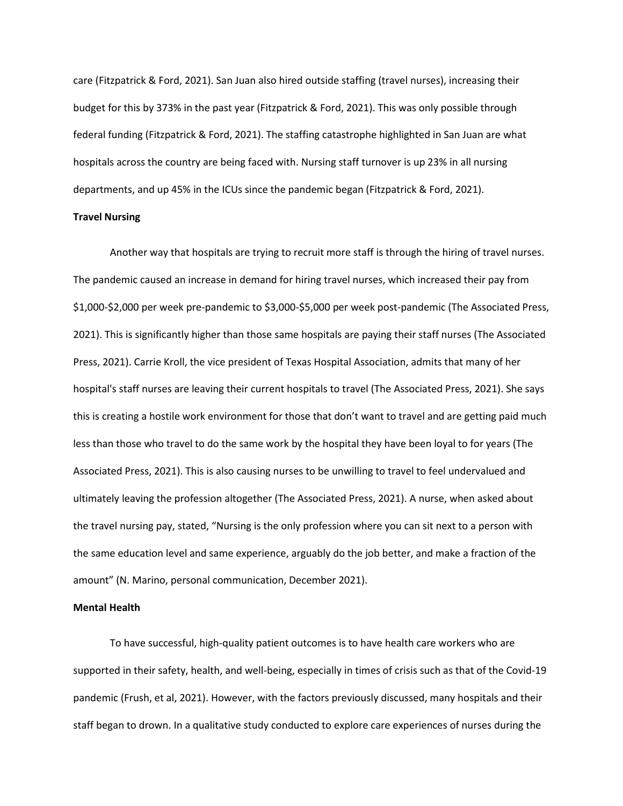care (Fitzpatrick & Ford, 2021). San Juan also hired outside staffing (travel nurses), increasing their budget for this by 373% in the past year (Fitzpatrick & Ford, 2021). This was only possible through federal funding (Fitzpatrick & Ford, 2021). The staffing catastrophe highlighted in San Juan are what hospitals across the country are being faced with. Nursing staff turnover is up 23% in all nursing departments, and up 45% in the ICUs since the pandemic began (Fitzpatrick & Ford, 2021).

## **Travel Nursing**

Another way that hospitals are trying to recruit more staff is through the hiring of travel nurses. The pandemic caused an increase in demand for hiring travel nurses, which increased their pay from \$1,000-\$2,000 per week pre-pandemic to \$3,000-\$5,000 per week post-pandemic (The Associated Press, 2021). This is significantly higher than those same hospitals are paying their staff nurses (The Associated Press, 2021). Carrie Kroll, the vice president of Texas Hospital Association, admits that many of her hospital's staff nurses are leaving their current hospitals to travel (The Associated Press, 2021). She says this is creating a hostile work environment for those that don't want to travel and are getting paid much less than those who travel to do the same work by the hospital they have been loyal to for years (The Associated Press, 2021). This is also causing nurses to be unwilling to travel to feel undervalued and ultimately leaving the profession altogether (The Associated Press, 2021). A nurse, when asked about the travel nursing pay, stated, "Nursing is the only profession where you can sit next to a person with the same education level and same experience, arguably do the job better, and make a fraction of the amount" (N. Marino, personal communication, December 2021).

## **Mental Health**

To have successful, high-quality patient outcomes is to have health care workers who are supported in their safety, health, and well-being, especially in times of crisis such as that of the Covid-19 pandemic (Frush, et al, 2021). However, with the factors previously discussed, many hospitals and their staff began to drown. In a qualitative study conducted to explore care experiences of nurses during the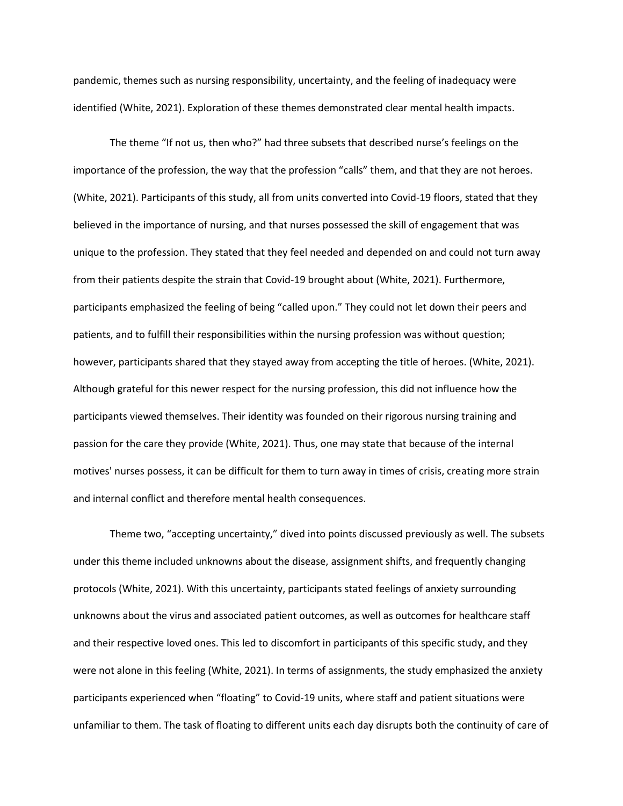pandemic, themes such as nursing responsibility, uncertainty, and the feeling of inadequacy were identified (White, 2021). Exploration of these themes demonstrated clear mental health impacts.

The theme "If not us, then who?" had three subsets that described nurse's feelings on the importance of the profession, the way that the profession "calls" them, and that they are not heroes. (White, 2021). Participants of this study, all from units converted into Covid-19 floors, stated that they believed in the importance of nursing, and that nurses possessed the skill of engagement that was unique to the profession. They stated that they feel needed and depended on and could not turn away from their patients despite the strain that Covid-19 brought about (White, 2021). Furthermore, participants emphasized the feeling of being "called upon." They could not let down their peers and patients, and to fulfill their responsibilities within the nursing profession was without question; however, participants shared that they stayed away from accepting the title of heroes. (White, 2021). Although grateful for this newer respect for the nursing profession, this did not influence how the participants viewed themselves. Their identity was founded on their rigorous nursing training and passion for the care they provide (White, 2021). Thus, one may state that because of the internal motives' nurses possess, it can be difficult for them to turn away in times of crisis, creating more strain and internal conflict and therefore mental health consequences.

Theme two, "accepting uncertainty," dived into points discussed previously as well. The subsets under this theme included unknowns about the disease, assignment shifts, and frequently changing protocols (White, 2021). With this uncertainty, participants stated feelings of anxiety surrounding unknowns about the virus and associated patient outcomes, as well as outcomes for healthcare staff and their respective loved ones. This led to discomfort in participants of this specific study, and they were not alone in this feeling (White, 2021). In terms of assignments, the study emphasized the anxiety participants experienced when "floating" to Covid-19 units, where staff and patient situations were unfamiliar to them. The task of floating to different units each day disrupts both the continuity of care of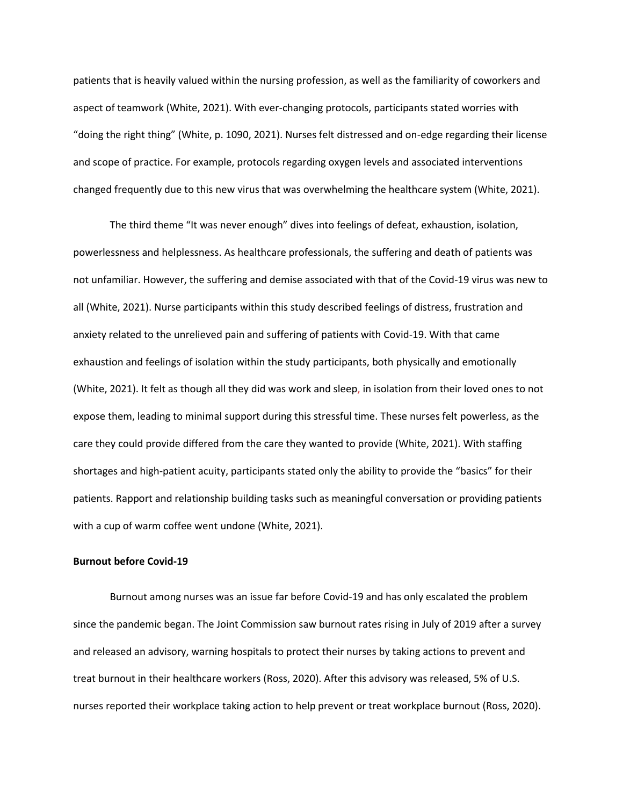patients that is heavily valued within the nursing profession, as well as the familiarity of coworkers and aspect of teamwork (White, 2021). With ever-changing protocols, participants stated worries with "doing the right thing" (White, p. 1090, 2021). Nurses felt distressed and on-edge regarding their license and scope of practice. For example, protocols regarding oxygen levels and associated interventions changed frequently due to this new virus that was overwhelming the healthcare system (White, 2021).

The third theme "It was never enough" dives into feelings of defeat, exhaustion, isolation, powerlessness and helplessness. As healthcare professionals, the suffering and death of patients was not unfamiliar. However, the suffering and demise associated with that of the Covid-19 virus was new to all (White, 2021). Nurse participants within this study described feelings of distress, frustration and anxiety related to the unrelieved pain and suffering of patients with Covid-19. With that came exhaustion and feelings of isolation within the study participants, both physically and emotionally (White, 2021). It felt as though all they did was work and sleep, in isolation from their loved ones to not expose them, leading to minimal support during this stressful time. These nurses felt powerless, as the care they could provide differed from the care they wanted to provide (White, 2021). With staffing shortages and high-patient acuity, participants stated only the ability to provide the "basics" for their patients. Rapport and relationship building tasks such as meaningful conversation or providing patients with a cup of warm coffee went undone (White, 2021).

## **Burnout before Covid-19**

Burnout among nurses was an issue far before Covid-19 and has only escalated the problem since the pandemic began. The Joint Commission saw burnout rates rising in July of 2019 after a survey and released an advisory, warning hospitals to protect their nurses by taking actions to prevent and treat burnout in their healthcare workers (Ross, 2020). After this advisory was released, 5% of U.S. nurses reported their workplace taking action to help prevent or treat workplace burnout (Ross, 2020).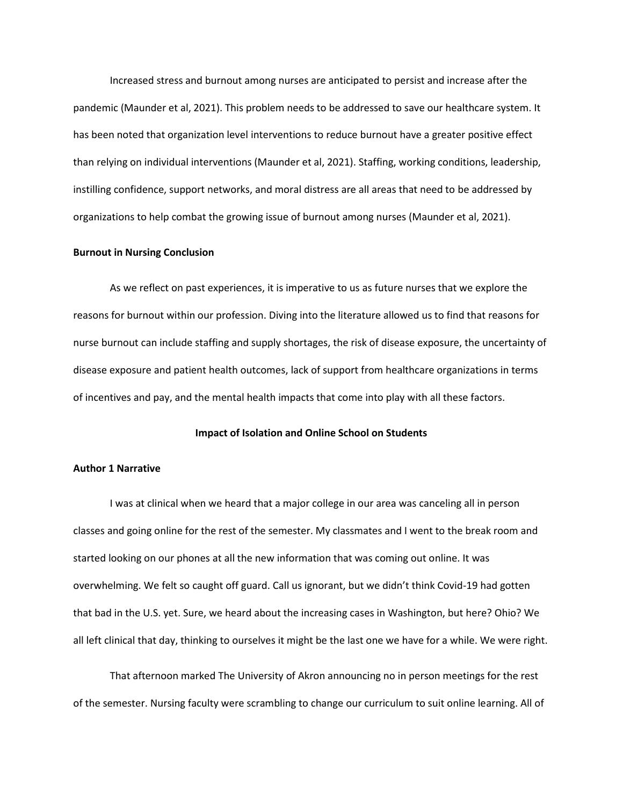Increased stress and burnout among nurses are anticipated to persist and increase after the pandemic (Maunder et al, 2021). This problem needs to be addressed to save our healthcare system. It has been noted that organization level interventions to reduce burnout have a greater positive effect than relying on individual interventions (Maunder et al, 2021). Staffing, working conditions, leadership, instilling confidence, support networks, and moral distress are all areas that need to be addressed by organizations to help combat the growing issue of burnout among nurses (Maunder et al, 2021).

## **Burnout in Nursing Conclusion**

As we reflect on past experiences, it is imperative to us as future nurses that we explore the reasons for burnout within our profession. Diving into the literature allowed us to find that reasons for nurse burnout can include staffing and supply shortages, the risk of disease exposure, the uncertainty of disease exposure and patient health outcomes, lack of support from healthcare organizations in terms of incentives and pay, and the mental health impacts that come into play with all these factors.

## **Impact of Isolation and Online School on Students**

## **Author 1 Narrative**

I was at clinical when we heard that a major college in our area was canceling all in person classes and going online for the rest of the semester. My classmates and I went to the break room and started looking on our phones at all the new information that was coming out online. It was overwhelming. We felt so caught off guard. Call us ignorant, but we didn't think Covid-19 had gotten that bad in the U.S. yet. Sure, we heard about the increasing cases in Washington, but here? Ohio? We all left clinical that day, thinking to ourselves it might be the last one we have for a while. We were right.

That afternoon marked The University of Akron announcing no in person meetings for the rest of the semester. Nursing faculty were scrambling to change our curriculum to suit online learning. All of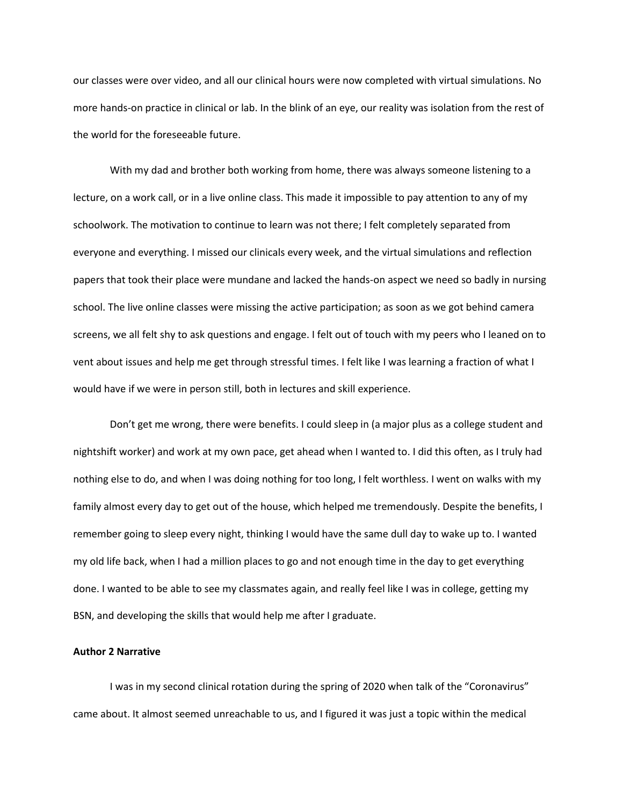our classes were over video, and all our clinical hours were now completed with virtual simulations. No more hands-on practice in clinical or lab. In the blink of an eye, our reality was isolation from the rest of the world for the foreseeable future.

With my dad and brother both working from home, there was always someone listening to a lecture, on a work call, or in a live online class. This made it impossible to pay attention to any of my schoolwork. The motivation to continue to learn was not there; I felt completely separated from everyone and everything. I missed our clinicals every week, and the virtual simulations and reflection papers that took their place were mundane and lacked the hands-on aspect we need so badly in nursing school. The live online classes were missing the active participation; as soon as we got behind camera screens, we all felt shy to ask questions and engage. I felt out of touch with my peers who I leaned on to vent about issues and help me get through stressful times. I felt like I was learning a fraction of what I would have if we were in person still, both in lectures and skill experience.

Don't get me wrong, there were benefits. I could sleep in (a major plus as a college student and nightshift worker) and work at my own pace, get ahead when I wanted to. I did this often, as I truly had nothing else to do, and when I was doing nothing for too long, I felt worthless. I went on walks with my family almost every day to get out of the house, which helped me tremendously. Despite the benefits, I remember going to sleep every night, thinking I would have the same dull day to wake up to. I wanted my old life back, when I had a million places to go and not enough time in the day to get everything done. I wanted to be able to see my classmates again, and really feel like I was in college, getting my BSN, and developing the skills that would help me after I graduate.

#### **Author 2 Narrative**

I was in my second clinical rotation during the spring of 2020 when talk of the "Coronavirus" came about. It almost seemed unreachable to us, and I figured it was just a topic within the medical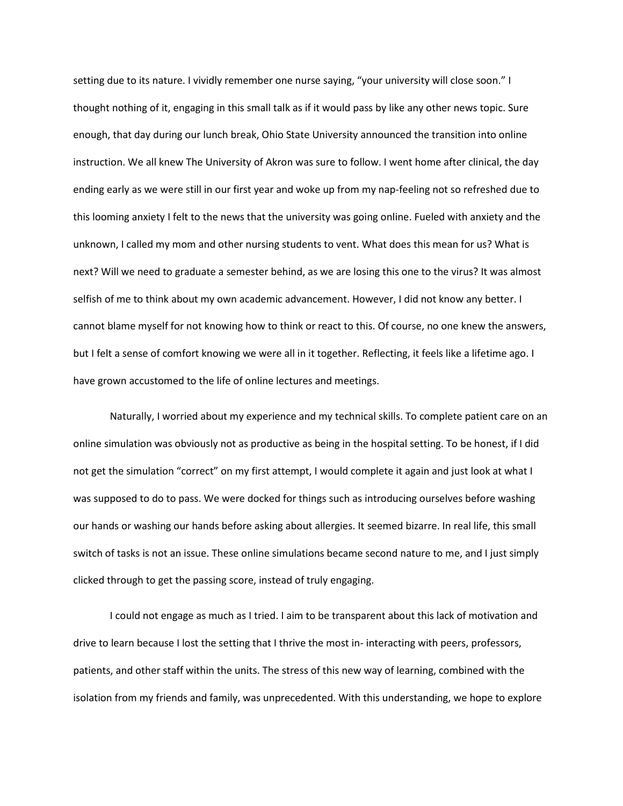setting due to its nature. I vividly remember one nurse saying, "your university will close soon." I thought nothing of it, engaging in this small talk as if it would pass by like any other news topic. Sure enough, that day during our lunch break, Ohio State University announced the transition into online instruction. We all knew The University of Akron was sure to follow. I went home after clinical, the day ending early as we were still in our first year and woke up from my nap-feeling not so refreshed due to this looming anxiety I felt to the news that the university was going online. Fueled with anxiety and the unknown, I called my mom and other nursing students to vent. What does this mean for us? What is next? Will we need to graduate a semester behind, as we are losing this one to the virus? It was almost selfish of me to think about my own academic advancement. However, I did not know any better. I cannot blame myself for not knowing how to think or react to this. Of course, no one knew the answers, but I felt a sense of comfort knowing we were all in it together. Reflecting, it feels like a lifetime ago. I have grown accustomed to the life of online lectures and meetings.

Naturally, I worried about my experience and my technical skills. To complete patient care on an online simulation was obviously not as productive as being in the hospital setting. To be honest, if I did not get the simulation "correct" on my first attempt, I would complete it again and just look at what I was supposed to do to pass. We were docked for things such as introducing ourselves before washing our hands or washing our hands before asking about allergies. It seemed bizarre. In real life, this small switch of tasks is not an issue. These online simulations became second nature to me, and I just simply clicked through to get the passing score, instead of truly engaging.

I could not engage as much as I tried. I aim to be transparent about this lack of motivation and drive to learn because I lost the setting that I thrive the most in- interacting with peers, professors, patients, and other staff within the units. The stress of this new way of learning, combined with the isolation from my friends and family, was unprecedented. With this understanding, we hope to explore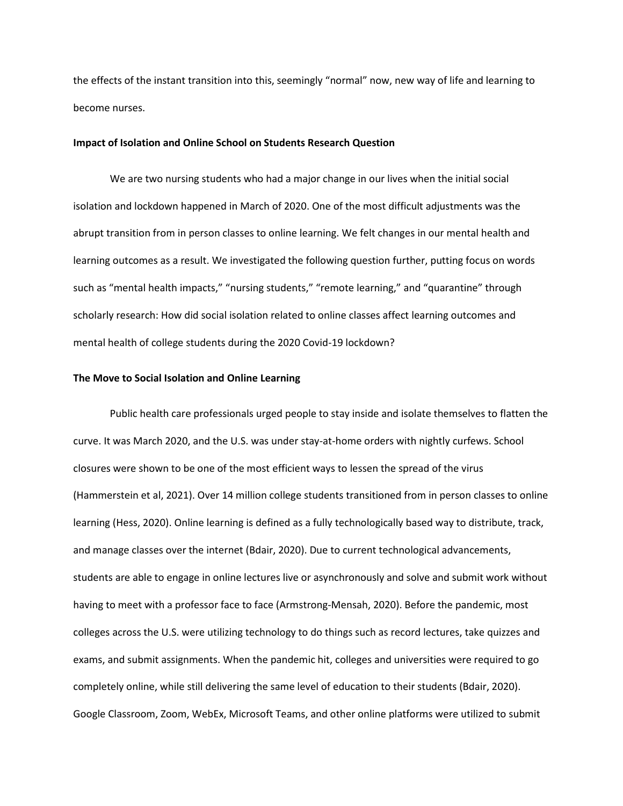the effects of the instant transition into this, seemingly "normal" now, new way of life and learning to become nurses.

## **Impact of Isolation and Online School on Students Research Question**

We are two nursing students who had a major change in our lives when the initial social isolation and lockdown happened in March of 2020. One of the most difficult adjustments was the abrupt transition from in person classes to online learning. We felt changes in our mental health and learning outcomes as a result. We investigated the following question further, putting focus on words such as "mental health impacts," "nursing students," "remote learning," and "quarantine" through scholarly research: How did social isolation related to online classes affect learning outcomes and mental health of college students during the 2020 Covid-19 lockdown?

## **The Move to Social Isolation and Online Learning**

Public health care professionals urged people to stay inside and isolate themselves to flatten the curve. It was March 2020, and the U.S. was under stay-at-home orders with nightly curfews. School closures were shown to be one of the most efficient ways to lessen the spread of the virus (Hammerstein et al, 2021). Over 14 million college students transitioned from in person classes to online learning (Hess, 2020). Online learning is defined as a fully technologically based way to distribute, track, and manage classes over the internet (Bdair, 2020). Due to current technological advancements, students are able to engage in online lectures live or asynchronously and solve and submit work without having to meet with a professor face to face (Armstrong-Mensah, 2020). Before the pandemic, most colleges across the U.S. were utilizing technology to do things such as record lectures, take quizzes and exams, and submit assignments. When the pandemic hit, colleges and universities were required to go completely online, while still delivering the same level of education to their students (Bdair, 2020). Google Classroom, Zoom, WebEx, Microsoft Teams, and other online platforms were utilized to submit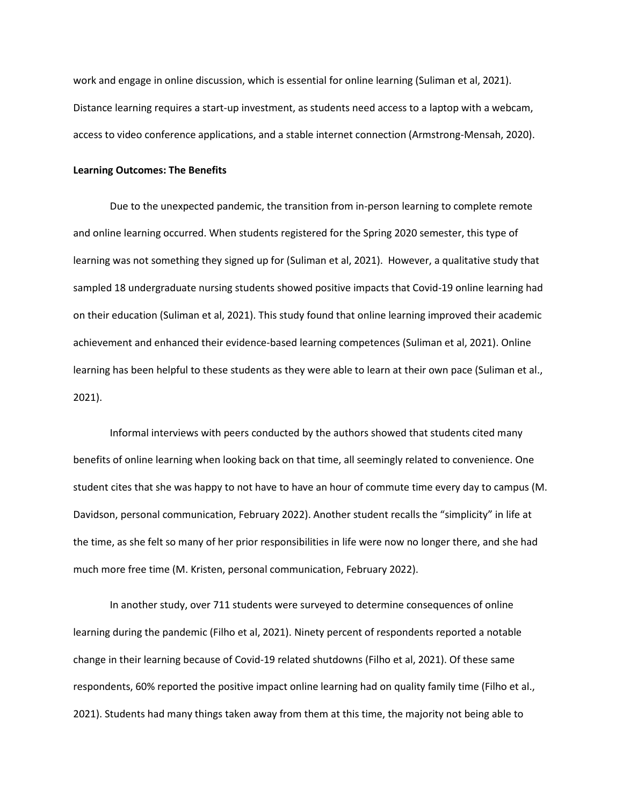work and engage in online discussion, which is essential for online learning (Suliman et al, 2021). Distance learning requires a start-up investment, as students need access to a laptop with a webcam, access to video conference applications, and a stable internet connection (Armstrong-Mensah, 2020).

## **Learning Outcomes: The Benefits**

Due to the unexpected pandemic, the transition from in-person learning to complete remote and online learning occurred. When students registered for the Spring 2020 semester, this type of learning was not something they signed up for (Suliman et al, 2021). However, a qualitative study that sampled 18 undergraduate nursing students showed positive impacts that Covid-19 online learning had on their education (Suliman et al, 2021). This study found that online learning improved their academic achievement and enhanced their evidence-based learning competences (Suliman et al, 2021). Online learning has been helpful to these students as they were able to learn at their own pace (Suliman et al., 2021).

Informal interviews with peers conducted by the authors showed that students cited many benefits of online learning when looking back on that time, all seemingly related to convenience. One student cites that she was happy to not have to have an hour of commute time every day to campus (M. Davidson, personal communication, February 2022). Another student recalls the "simplicity" in life at the time, as she felt so many of her prior responsibilities in life were now no longer there, and she had much more free time (M. Kristen, personal communication, February 2022).

In another study, over 711 students were surveyed to determine consequences of online learning during the pandemic (Filho et al, 2021). Ninety percent of respondents reported a notable change in their learning because of Covid-19 related shutdowns (Filho et al, 2021). Of these same respondents, 60% reported the positive impact online learning had on quality family time (Filho et al., 2021). Students had many things taken away from them at this time, the majority not being able to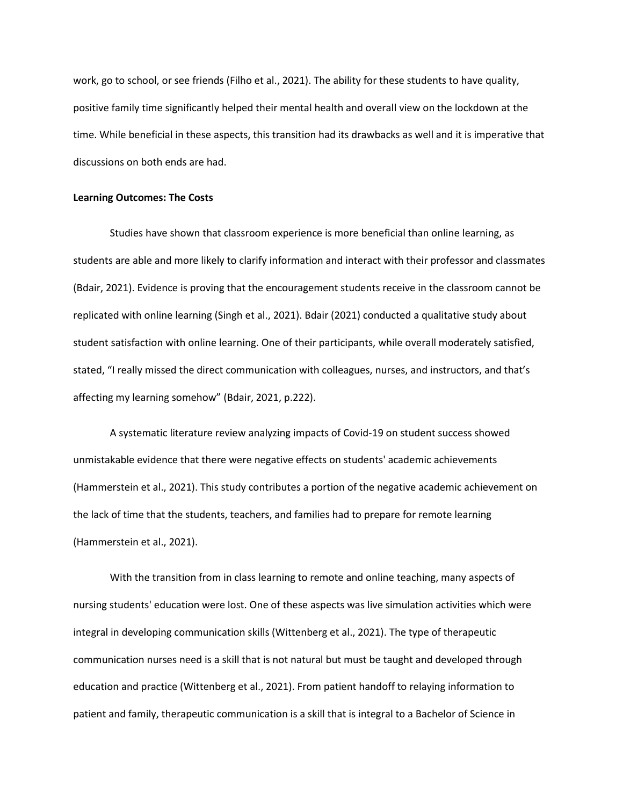work, go to school, or see friends (Filho et al., 2021). The ability for these students to have quality, positive family time significantly helped their mental health and overall view on the lockdown at the time. While beneficial in these aspects, this transition had its drawbacks as well and it is imperative that discussions on both ends are had.

#### **Learning Outcomes: The Costs**

Studies have shown that classroom experience is more beneficial than online learning, as students are able and more likely to clarify information and interact with their professor and classmates (Bdair, 2021). Evidence is proving that the encouragement students receive in the classroom cannot be replicated with online learning (Singh et al., 2021). Bdair (2021) conducted a qualitative study about student satisfaction with online learning. One of their participants, while overall moderately satisfied, stated, "I really missed the direct communication with colleagues, nurses, and instructors, and that's affecting my learning somehow" (Bdair, 2021, p.222).

A systematic literature review analyzing impacts of Covid-19 on student success showed unmistakable evidence that there were negative effects on students' academic achievements (Hammerstein et al., 2021). This study contributes a portion of the negative academic achievement on the lack of time that the students, teachers, and families had to prepare for remote learning (Hammerstein et al., 2021).

With the transition from in class learning to remote and online teaching, many aspects of nursing students' education were lost. One of these aspects was live simulation activities which were integral in developing communication skills (Wittenberg et al., 2021). The type of therapeutic communication nurses need is a skill that is not natural but must be taught and developed through education and practice (Wittenberg et al., 2021). From patient handoff to relaying information to patient and family, therapeutic communication is a skill that is integral to a Bachelor of Science in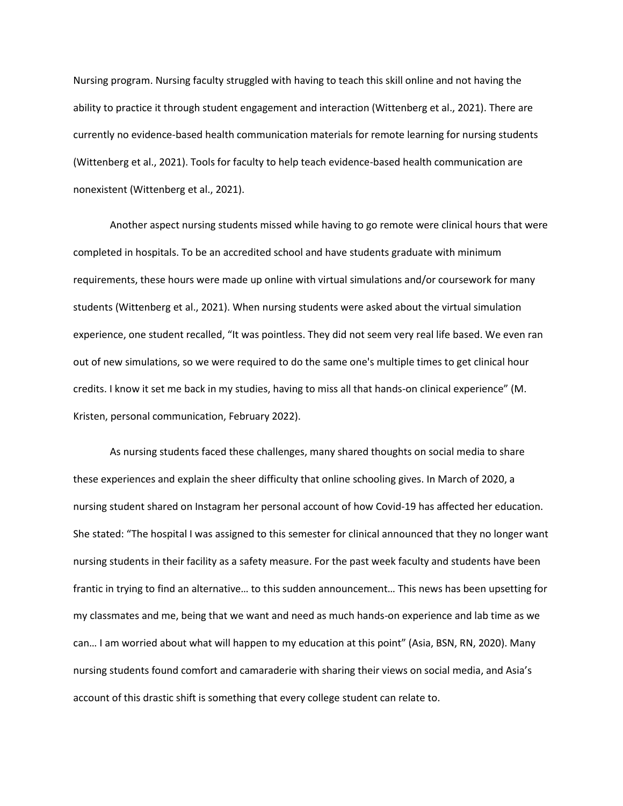Nursing program. Nursing faculty struggled with having to teach this skill online and not having the ability to practice it through student engagement and interaction (Wittenberg et al., 2021). There are currently no evidence-based health communication materials for remote learning for nursing students (Wittenberg et al., 2021). Tools for faculty to help teach evidence-based health communication are nonexistent (Wittenberg et al., 2021).

Another aspect nursing students missed while having to go remote were clinical hours that were completed in hospitals. To be an accredited school and have students graduate with minimum requirements, these hours were made up online with virtual simulations and/or coursework for many students (Wittenberg et al., 2021). When nursing students were asked about the virtual simulation experience, one student recalled, "It was pointless. They did not seem very real life based. We even ran out of new simulations, so we were required to do the same one's multiple times to get clinical hour credits. I know it set me back in my studies, having to miss all that hands-on clinical experience" (M. Kristen, personal communication, February 2022).

As nursing students faced these challenges, many shared thoughts on social media to share these experiences and explain the sheer difficulty that online schooling gives. In March of 2020, a nursing student shared on Instagram her personal account of how Covid-19 has affected her education. She stated: "The hospital I was assigned to this semester for clinical announced that they no longer want nursing students in their facility as a safety measure. For the past week faculty and students have been frantic in trying to find an alternative… to this sudden announcement… This news has been upsetting for my classmates and me, being that we want and need as much hands-on experience and lab time as we can… I am worried about what will happen to my education at this point" (Asia, BSN, RN, 2020). Many nursing students found comfort and camaraderie with sharing their views on social media, and Asia's account of this drastic shift is something that every college student can relate to.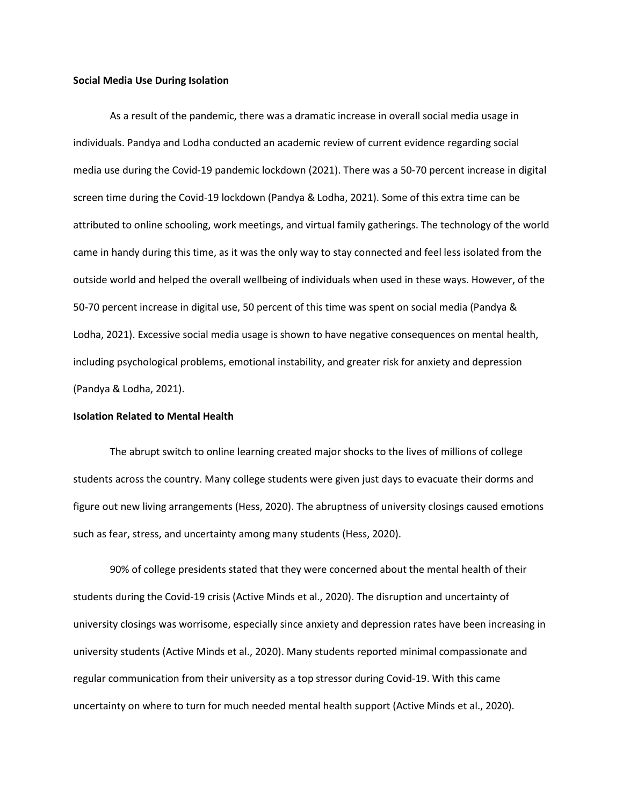#### **Social Media Use During Isolation**

As a result of the pandemic, there was a dramatic increase in overall social media usage in individuals. Pandya and Lodha conducted an academic review of current evidence regarding social media use during the Covid-19 pandemic lockdown (2021). There was a 50-70 percent increase in digital screen time during the Covid-19 lockdown (Pandya & Lodha, 2021). Some of this extra time can be attributed to online schooling, work meetings, and virtual family gatherings. The technology of the world came in handy during this time, as it was the only way to stay connected and feel less isolated from the outside world and helped the overall wellbeing of individuals when used in these ways. However, of the 50-70 percent increase in digital use, 50 percent of this time was spent on social media (Pandya & Lodha, 2021). Excessive social media usage is shown to have negative consequences on mental health, including psychological problems, emotional instability, and greater risk for anxiety and depression (Pandya & Lodha, 2021).

#### **Isolation Related to Mental Health**

The abrupt switch to online learning created major shocks to the lives of millions of college students across the country. Many college students were given just days to evacuate their dorms and figure out new living arrangements (Hess, 2020). The abruptness of university closings caused emotions such as fear, stress, and uncertainty among many students (Hess, 2020).

90% of college presidents stated that they were concerned about the mental health of their students during the Covid-19 crisis (Active Minds et al., 2020). The disruption and uncertainty of university closings was worrisome, especially since anxiety and depression rates have been increasing in university students (Active Minds et al., 2020). Many students reported minimal compassionate and regular communication from their university as a top stressor during Covid-19. With this came uncertainty on where to turn for much needed mental health support (Active Minds et al., 2020).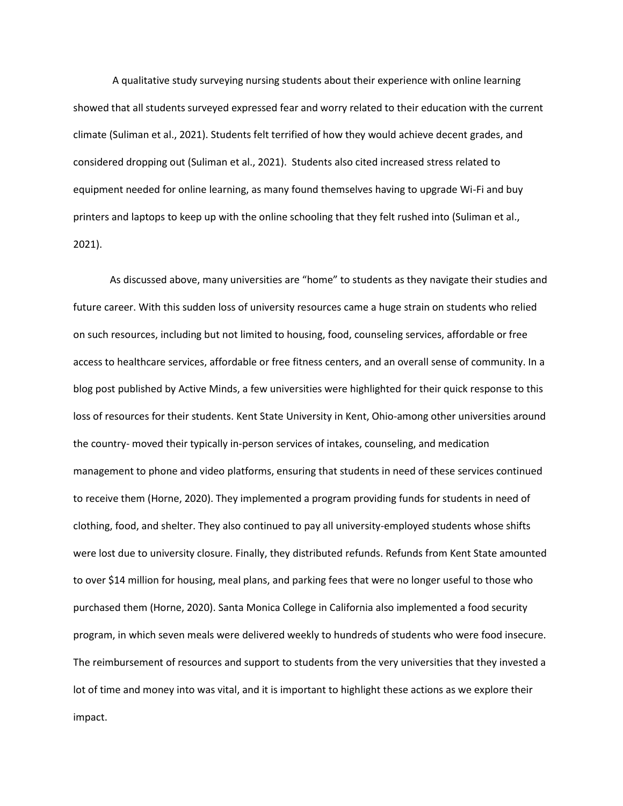A qualitative study surveying nursing students about their experience with online learning showed that all students surveyed expressed fear and worry related to their education with the current climate (Suliman et al., 2021). Students felt terrified of how they would achieve decent grades, and considered dropping out (Suliman et al., 2021). Students also cited increased stress related to equipment needed for online learning, as many found themselves having to upgrade Wi-Fi and buy printers and laptops to keep up with the online schooling that they felt rushed into (Suliman et al., 2021).

As discussed above, many universities are "home" to students as they navigate their studies and future career. With this sudden loss of university resources came a huge strain on students who relied on such resources, including but not limited to housing, food, counseling services, affordable or free access to healthcare services, affordable or free fitness centers, and an overall sense of community. In a blog post published by Active Minds, a few universities were highlighted for their quick response to this loss of resources for their students. Kent State University in Kent, Ohio-among other universities around the country- moved their typically in-person services of intakes, counseling, and medication management to phone and video platforms, ensuring that students in need of these services continued to receive them (Horne, 2020). They implemented a program providing funds for students in need of clothing, food, and shelter. They also continued to pay all university-employed students whose shifts were lost due to university closure. Finally, they distributed refunds. Refunds from Kent State amounted to over \$14 million for housing, meal plans, and parking fees that were no longer useful to those who purchased them (Horne, 2020). Santa Monica College in California also implemented a food security program, in which seven meals were delivered weekly to hundreds of students who were food insecure. The reimbursement of resources and support to students from the very universities that they invested a lot of time and money into was vital, and it is important to highlight these actions as we explore their impact.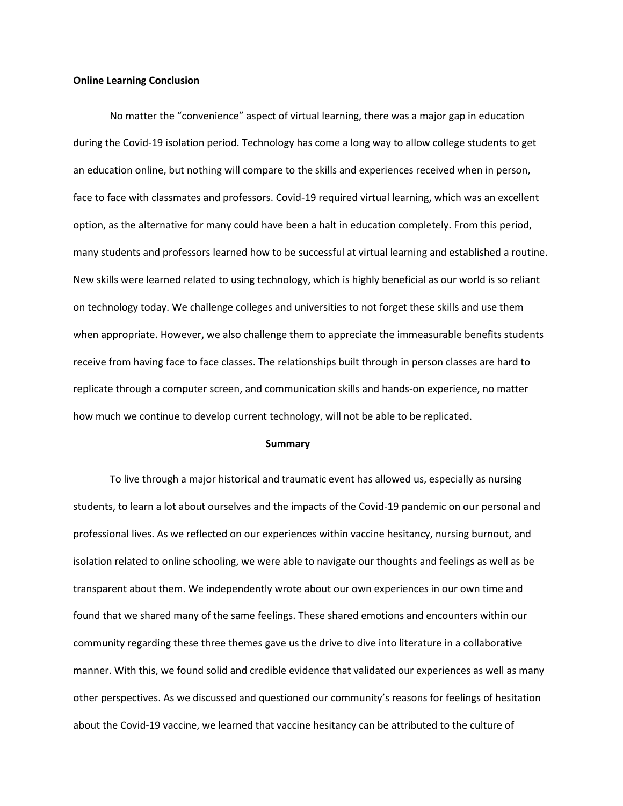#### **Online Learning Conclusion**

No matter the "convenience" aspect of virtual learning, there was a major gap in education during the Covid-19 isolation period. Technology has come a long way to allow college students to get an education online, but nothing will compare to the skills and experiences received when in person, face to face with classmates and professors. Covid-19 required virtual learning, which was an excellent option, as the alternative for many could have been a halt in education completely. From this period, many students and professors learned how to be successful at virtual learning and established a routine. New skills were learned related to using technology, which is highly beneficial as our world is so reliant on technology today. We challenge colleges and universities to not forget these skills and use them when appropriate. However, we also challenge them to appreciate the immeasurable benefits students receive from having face to face classes. The relationships built through in person classes are hard to replicate through a computer screen, and communication skills and hands-on experience, no matter how much we continue to develop current technology, will not be able to be replicated.

#### **Summary**

To live through a major historical and traumatic event has allowed us, especially as nursing students, to learn a lot about ourselves and the impacts of the Covid-19 pandemic on our personal and professional lives. As we reflected on our experiences within vaccine hesitancy, nursing burnout, and isolation related to online schooling, we were able to navigate our thoughts and feelings as well as be transparent about them. We independently wrote about our own experiences in our own time and found that we shared many of the same feelings. These shared emotions and encounters within our community regarding these three themes gave us the drive to dive into literature in a collaborative manner. With this, we found solid and credible evidence that validated our experiences as well as many other perspectives. As we discussed and questioned our community's reasons for feelings of hesitation about the Covid-19 vaccine, we learned that vaccine hesitancy can be attributed to the culture of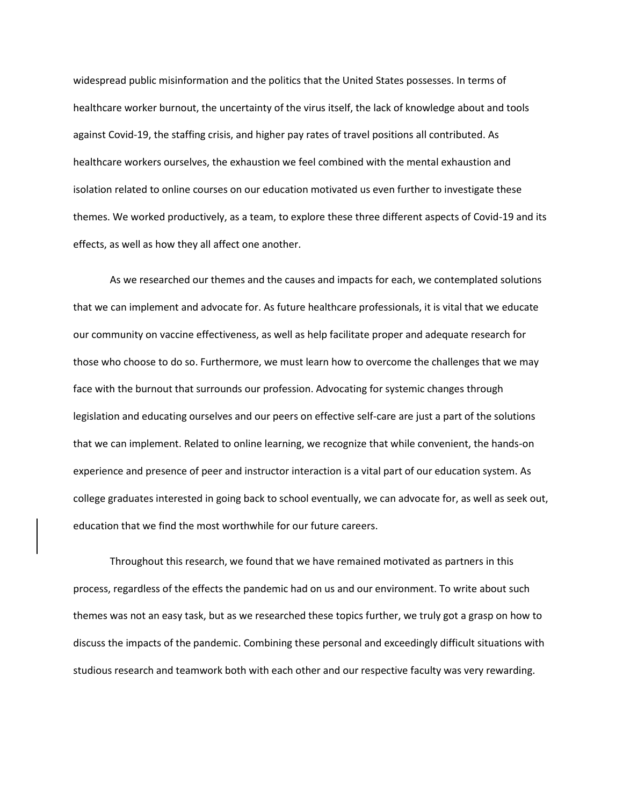widespread public misinformation and the politics that the United States possesses. In terms of healthcare worker burnout, the uncertainty of the virus itself, the lack of knowledge about and tools against Covid-19, the staffing crisis, and higher pay rates of travel positions all contributed. As healthcare workers ourselves, the exhaustion we feel combined with the mental exhaustion and isolation related to online courses on our education motivated us even further to investigate these themes. We worked productively, as a team, to explore these three different aspects of Covid-19 and its effects, as well as how they all affect one another.

As we researched our themes and the causes and impacts for each, we contemplated solutions that we can implement and advocate for. As future healthcare professionals, it is vital that we educate our community on vaccine effectiveness, as well as help facilitate proper and adequate research for those who choose to do so. Furthermore, we must learn how to overcome the challenges that we may face with the burnout that surrounds our profession. Advocating for systemic changes through legislation and educating ourselves and our peers on effective self-care are just a part of the solutions that we can implement. Related to online learning, we recognize that while convenient, the hands-on experience and presence of peer and instructor interaction is a vital part of our education system. As college graduates interested in going back to school eventually, we can advocate for, as well as seek out, education that we find the most worthwhile for our future careers.

Throughout this research, we found that we have remained motivated as partners in this process, regardless of the effects the pandemic had on us and our environment. To write about such themes was not an easy task, but as we researched these topics further, we truly got a grasp on how to discuss the impacts of the pandemic. Combining these personal and exceedingly difficult situations with studious research and teamwork both with each other and our respective faculty was very rewarding.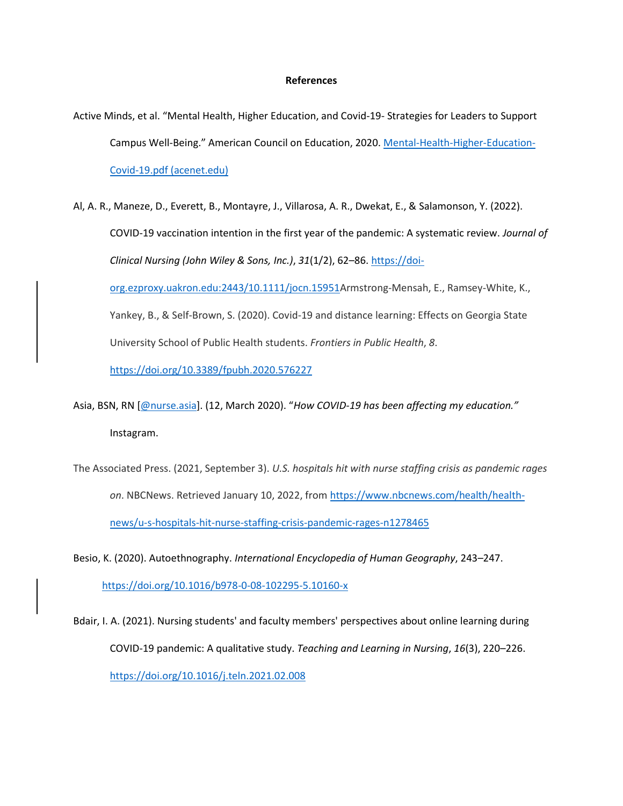## **References**

- Active Minds, et al. "Mental Health, Higher Education, and Covid-19- Strategies for Leaders to Support Campus Well-Being." American Council on Education, 2020. [Mental-Health-Higher-Education-](https://www.acenet.edu/Documents/Mental-Health-Higher-Education-Covid-19.pdf)[Covid-19.pdf \(acenet.edu\)](https://www.acenet.edu/Documents/Mental-Health-Higher-Education-Covid-19.pdf)
- Al, A. R., Maneze, D., Everett, B., Montayre, J., Villarosa, A. R., Dwekat, E., & Salamonson, Y. (2022). COVID‐19 vaccination intention in the first year of the pandemic: A systematic review. *Journal of Clinical Nursing (John Wiley & Sons, Inc.)*, *31*(1/2), 62–86[. https://doi-](https://doi-org.ezproxy.uakron.edu:2443/10.1111/jocn.15951)

[org.ezproxy.uakron.edu:2443/10.1111/jocn.15951A](https://doi-org.ezproxy.uakron.edu:2443/10.1111/jocn.15951)rmstrong-Mensah, E., Ramsey-White, K.,

Yankey, B., & Self-Brown, S. (2020). Covid-19 and distance learning: Effects on Georgia State University School of Public Health students. *Frontiers in Public Health*, *8*.

<https://doi.org/10.3389/fpubh.2020.576227>

- Asia, BSN, RN [\[@nurse.asia](mailto:@nurse.asia)]. (12, March 2020). "*How COVID-19 has been affecting my education."* Instagram.
- The Associated Press. (2021, September 3). *U.S. hospitals hit with nurse staffing crisis as pandemic rages on*. NBCNews. Retrieved January 10, 2022, from [https://www.nbcnews.com/health/health](https://www.nbcnews.com/health/health-news/u-s-hospitals-hit-nurse-staffing-crisis-pandemic-rages-n1278465)[news/u-s-hospitals-hit-nurse-staffing-crisis-pandemic-rages-n1278465](https://www.nbcnews.com/health/health-news/u-s-hospitals-hit-nurse-staffing-crisis-pandemic-rages-n1278465)
- Besio, K. (2020). Autoethnography. *International Encyclopedia of Human Geography*, 243–247. <https://doi.org/10.1016/b978-0-08-102295-5.10160-x>
- Bdair, I. A. (2021). Nursing students' and faculty members' perspectives about online learning during COVID-19 pandemic: A qualitative study. *Teaching and Learning in Nursing*, *16*(3), 220–226. <https://doi.org/10.1016/j.teln.2021.02.008>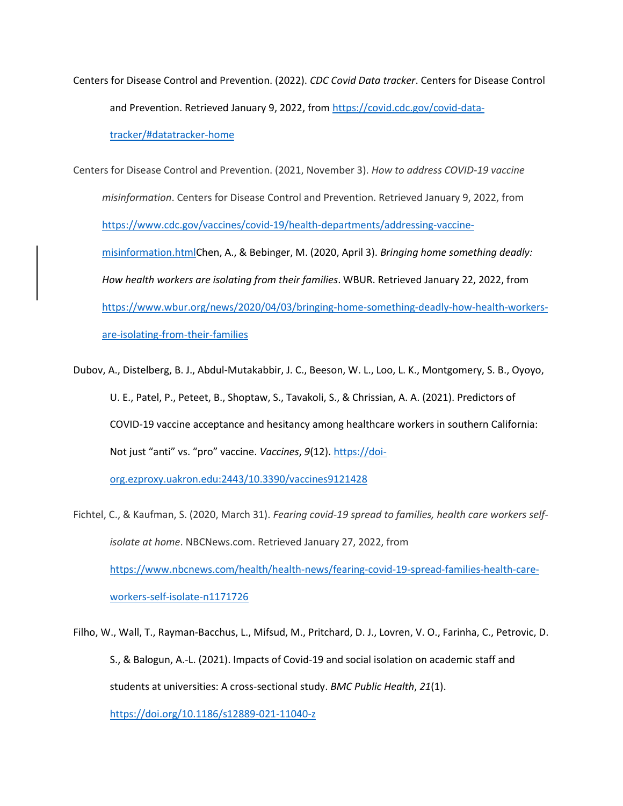Centers for Disease Control and Prevention. (2022). *CDC Covid Data tracker*. Centers for Disease Control and Prevention. Retrieved January 9, 2022, from [https://covid.cdc.gov/covid-data](https://covid.cdc.gov/covid-data-tracker/#datatracker-home)[tracker/#datatracker-home](https://covid.cdc.gov/covid-data-tracker/#datatracker-home)

Centers for Disease Control and Prevention. (2021, November 3). *How to address COVID-19 vaccine misinformation*. Centers for Disease Control and Prevention. Retrieved January 9, 2022, from [https://www.cdc.gov/vaccines/covid-19/health-departments/addressing-vaccine](https://www.cdc.gov/vaccines/covid-19/health-departments/addressing-vaccine-misinformation.html)[misinformation.htmlC](https://www.cdc.gov/vaccines/covid-19/health-departments/addressing-vaccine-misinformation.html)hen, A., & Bebinger, M. (2020, April 3). *Bringing home something deadly: How health workers are isolating from their families*. WBUR. Retrieved January 22, 2022, from [https://www.wbur.org/news/2020/04/03/bringing-home-something-deadly-how-health-workers](https://www.wbur.org/news/2020/04/03/bringing-home-something-deadly-how-health-workers-are-isolating-from-their-families)[are-isolating-from-their-families](https://www.wbur.org/news/2020/04/03/bringing-home-something-deadly-how-health-workers-are-isolating-from-their-families)

Dubov, A., Distelberg, B. J., Abdul-Mutakabbir, J. C., Beeson, W. L., Loo, L. K., Montgomery, S. B., Oyoyo, U. E., Patel, P., Peteet, B., Shoptaw, S., Tavakoli, S., & Chrissian, A. A. (2021). Predictors of COVID-19 vaccine acceptance and hesitancy among healthcare workers in southern California: Not just "anti" vs. "pro" vaccine. *Vaccines*, *9*(12). [https://doi-](https://doi-org.ezproxy.uakron.edu:2443/10.3390/vaccines9121428)

[org.ezproxy.uakron.edu:2443/10.3390/vaccines9121428](https://doi-org.ezproxy.uakron.edu:2443/10.3390/vaccines9121428)

Fichtel, C., & Kaufman, S. (2020, March 31). *Fearing covid-19 spread to families, health care workers selfisolate at home*. NBCNews.com. Retrieved January 27, 2022, from [https://www.nbcnews.com/health/health-news/fearing-covid-19-spread-families-health-care](https://www.nbcnews.com/health/health-news/fearing-covid-19-spread-families-health-care-workers-self-isolate-n1171726)[workers-self-isolate-n1171726](https://www.nbcnews.com/health/health-news/fearing-covid-19-spread-families-health-care-workers-self-isolate-n1171726)

Filho, W., Wall, T., Rayman-Bacchus, L., Mifsud, M., Pritchard, D. J., Lovren, V. O., Farinha, C., Petrovic, D. S., & Balogun, A.-L. (2021). Impacts of Covid-19 and social isolation on academic staff and students at universities: A cross-sectional study. *BMC Public Health*, *21*(1). <https://doi.org/10.1186/s12889-021-11040-z>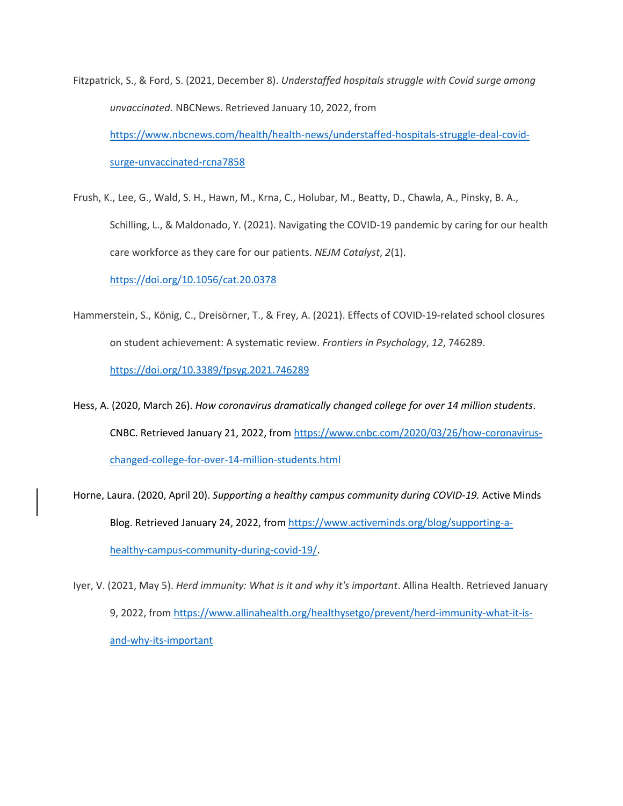- Fitzpatrick, S., & Ford, S. (2021, December 8). *Understaffed hospitals struggle with Covid surge among unvaccinated*. NBCNews. Retrieved January 10, 2022, from [https://www.nbcnews.com/health/health-news/understaffed-hospitals-struggle-deal-covid](https://www.nbcnews.com/health/health-news/understaffed-hospitals-struggle-deal-covid-surge-unvaccinated-rcna7858)[surge-unvaccinated-rcna7858](https://www.nbcnews.com/health/health-news/understaffed-hospitals-struggle-deal-covid-surge-unvaccinated-rcna7858)
- Frush, K., Lee, G., Wald, S. H., Hawn, M., Krna, C., Holubar, M., Beatty, D., Chawla, A., Pinsky, B. A., Schilling, L., & Maldonado, Y. (2021). Navigating the COVID-19 pandemic by caring for our health care workforce as they care for our patients. *NEJM Catalyst*, *2*(1).

<https://doi.org/10.1056/cat.20.0378>

- Hammerstein, S., König, C., Dreisörner, T., & Frey, A. (2021). Effects of COVID-19-related school closures on student achievement: A systematic review. *Frontiers in Psychology*, *12*, 746289. <https://doi.org/10.3389/fpsyg.2021.746289>
- Hess, A. (2020, March 26). *How coronavirus dramatically changed college for over 14 million students*. CNBC. Retrieved January 21, 2022, from [https://www.cnbc.com/2020/03/26/how-coronavirus](https://www.cnbc.com/2020/03/26/how-coronavirus-changed-college-for-over-14-million-students.html)[changed-college-for-over-14-million-students.html](https://www.cnbc.com/2020/03/26/how-coronavirus-changed-college-for-over-14-million-students.html)
- Horne, Laura. (2020, April 20). *Supporting a healthy campus community during COVID-19.* Active Minds Blog. Retrieved January 24, 2022, fro[m https://www.activeminds.org/blog/supporting-a](https://www.activeminds.org/blog/supporting-a-healthy-campus-community-during-covid-19/)[healthy-campus-community-during-covid-19/.](https://www.activeminds.org/blog/supporting-a-healthy-campus-community-during-covid-19/)
- Iyer, V. (2021, May 5). *Herd immunity: What is it and why it's important*. Allina Health. Retrieved January 9, 2022, fro[m https://www.allinahealth.org/healthysetgo/prevent/herd-immunity-what-it-is](https://www.allinahealth.org/healthysetgo/prevent/herd-immunity-what-it-is-and-why-its-important)[and-why-its-important](https://www.allinahealth.org/healthysetgo/prevent/herd-immunity-what-it-is-and-why-its-important)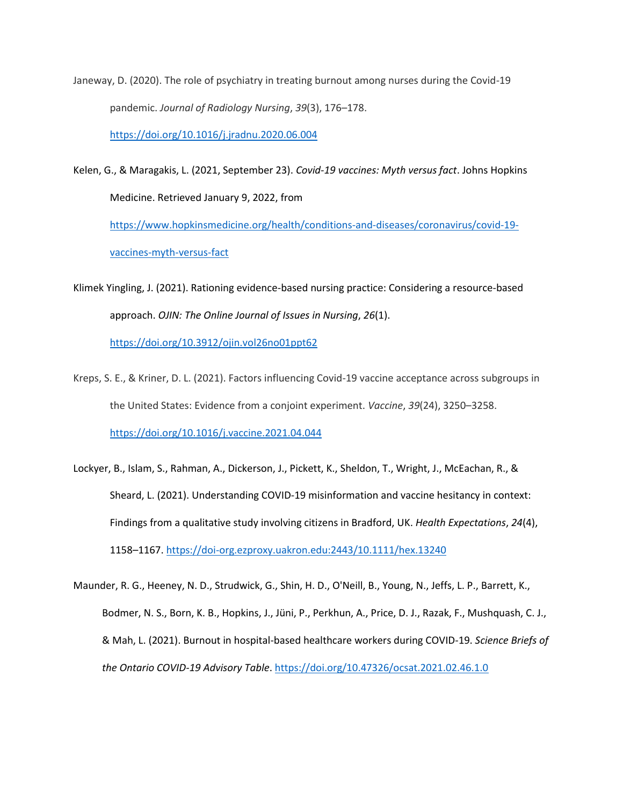Janeway, D. (2020). The role of psychiatry in treating burnout among nurses during the Covid-19 pandemic. *Journal of Radiology Nursing*, *39*(3), 176–178.

<https://doi.org/10.1016/j.jradnu.2020.06.004>

Kelen, G., & Maragakis, L. (2021, September 23). *Covid-19 vaccines: Myth versus fact*. Johns Hopkins Medicine. Retrieved January 9, 2022, from [https://www.hopkinsmedicine.org/health/conditions-and-diseases/coronavirus/covid-19-](https://www.hopkinsmedicine.org/health/conditions-and-diseases/coronavirus/covid-19-vaccines-myth-versus-fact)

[vaccines-myth-versus-fact](https://www.hopkinsmedicine.org/health/conditions-and-diseases/coronavirus/covid-19-vaccines-myth-versus-fact)

Klimek Yingling, J. (2021). Rationing evidence-based nursing practice: Considering a resource-based approach. *OJIN: The Online Journal of Issues in Nursing*, *26*(1).

<https://doi.org/10.3912/ojin.vol26no01ppt62>

- Kreps, S. E., & Kriner, D. L. (2021). Factors influencing Covid-19 vaccine acceptance across subgroups in the United States: Evidence from a conjoint experiment. *Vaccine*, *39*(24), 3250–3258. <https://doi.org/10.1016/j.vaccine.2021.04.044>
- Lockyer, B., Islam, S., Rahman, A., Dickerson, J., Pickett, K., Sheldon, T., Wright, J., McEachan, R., & Sheard, L. (2021). Understanding COVID‐19 misinformation and vaccine hesitancy in context: Findings from a qualitative study involving citizens in Bradford, UK. *Health Expectations*, *24*(4), 1158–1167.<https://doi-org.ezproxy.uakron.edu:2443/10.1111/hex.13240>
- Maunder, R. G., Heeney, N. D., Strudwick, G., Shin, H. D., O'Neill, B., Young, N., Jeffs, L. P., Barrett, K., Bodmer, N. S., Born, K. B., Hopkins, J., Jüni, P., Perkhun, A., Price, D. J., Razak, F., Mushquash, C. J., & Mah, L. (2021). Burnout in hospital-based healthcare workers during COVID-19. *Science Briefs of the Ontario COVID-19 Advisory Table*.<https://doi.org/10.47326/ocsat.2021.02.46.1.0>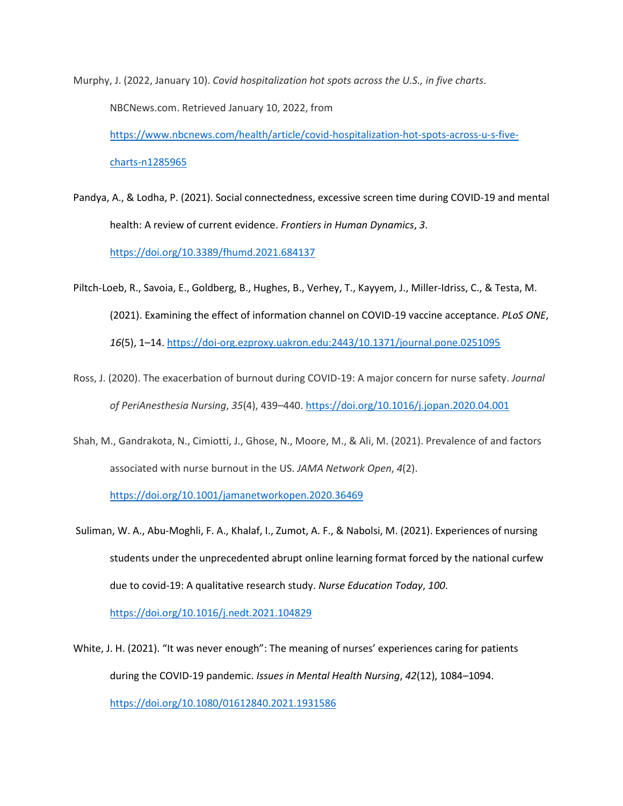Murphy, J. (2022, January 10). *Covid hospitalization hot spots across the U.S., in five charts*. NBCNews.com. Retrieved January 10, 2022, from [https://www.nbcnews.com/health/article/covid-hospitalization-hot-spots-across-u-s-five](https://www.nbcnews.com/health/article/covid-hospitalization-hot-spots-across-u-s-five-charts-n1285965)[charts-n1285965](https://www.nbcnews.com/health/article/covid-hospitalization-hot-spots-across-u-s-five-charts-n1285965)

Pandya, A., & Lodha, P. (2021). Social connectedness, excessive screen time during COVID-19 and mental health: A review of current evidence. *Frontiers in Human Dynamics*, *3*. <https://doi.org/10.3389/fhumd.2021.684137>

- Piltch-Loeb, R., Savoia, E., Goldberg, B., Hughes, B., Verhey, T., Kayyem, J., Miller-Idriss, C., & Testa, M. (2021). Examining the effect of information channel on COVID-19 vaccine acceptance. *PLoS ONE*, *16*(5), 1–14.<https://doi-org.ezproxy.uakron.edu:2443/10.1371/journal.pone.0251095>
- Ross, J. (2020). The exacerbation of burnout during COVID-19: A major concern for nurse safety. *Journal of PeriAnesthesia Nursing*, *35*(4), 439–440[. https://doi.org/10.1016/j.jopan.2020.04.001](https://doi.org/10.1016/j.jopan.2020.04.001)
- Shah, M., Gandrakota, N., Cimiotti, J., Ghose, N., Moore, M., & Ali, M. (2021). Prevalence of and factors associated with nurse burnout in the US. *JAMA Network Open*, *4*(2).

<https://doi.org/10.1001/jamanetworkopen.2020.36469>

Suliman, W. A., Abu-Moghli, F. A., Khalaf, I., Zumot, A. F., & Nabolsi, M. (2021). Experiences of nursing students under the unprecedented abrupt online learning format forced by the national curfew due to covid-19: A qualitative research study. *Nurse Education Today*, *100*.

<https://doi.org/10.1016/j.nedt.2021.104829>

White, J. H. (2021). "It was never enough": The meaning of nurses' experiences caring for patients during the COVID-19 pandemic. *Issues in Mental Health Nursing*, *42*(12), 1084–1094.

<https://doi.org/10.1080/01612840.2021.1931586>